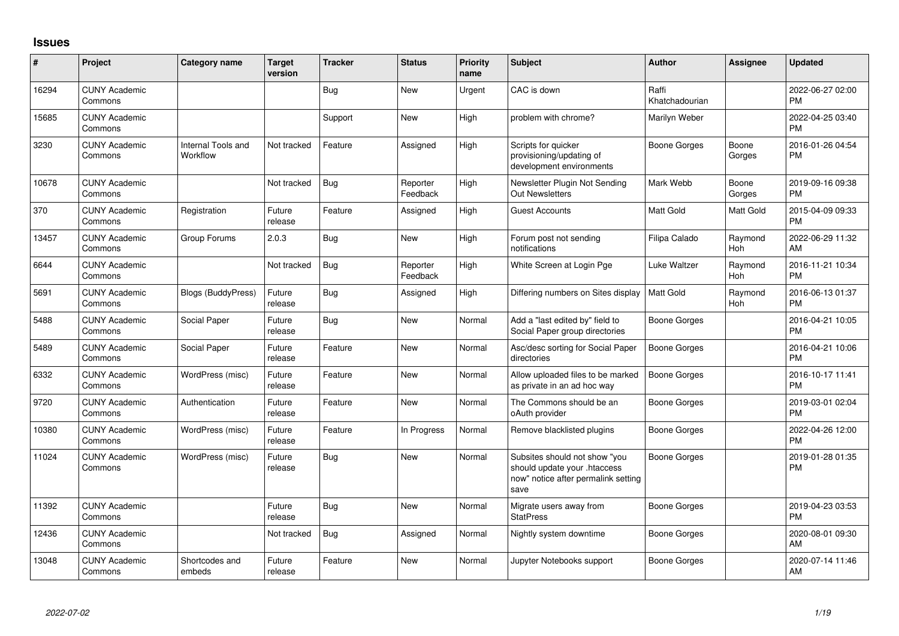## **Issues**

| #     | Project                         | Category name                  | <b>Target</b><br>version | <b>Tracker</b> | <b>Status</b>        | Priority<br>name | <b>Subject</b>                                                                                               | Author                  | <b>Assignee</b> | <b>Updated</b>                |
|-------|---------------------------------|--------------------------------|--------------------------|----------------|----------------------|------------------|--------------------------------------------------------------------------------------------------------------|-------------------------|-----------------|-------------------------------|
| 16294 | <b>CUNY Academic</b><br>Commons |                                |                          | <b>Bug</b>     | <b>New</b>           | Urgent           | CAC is down                                                                                                  | Raffi<br>Khatchadourian |                 | 2022-06-27 02:00<br><b>PM</b> |
| 15685 | <b>CUNY Academic</b><br>Commons |                                |                          | Support        | <b>New</b>           | High             | problem with chrome?                                                                                         | Marilyn Weber           |                 | 2022-04-25 03:40<br><b>PM</b> |
| 3230  | <b>CUNY Academic</b><br>Commons | Internal Tools and<br>Workflow | Not tracked              | Feature        | Assigned             | High             | Scripts for quicker<br>provisioning/updating of<br>development environments                                  | Boone Gorges            | Boone<br>Gorges | 2016-01-26 04:54<br><b>PM</b> |
| 10678 | <b>CUNY Academic</b><br>Commons |                                | Not tracked              | <b>Bug</b>     | Reporter<br>Feedback | High             | Newsletter Plugin Not Sending<br><b>Out Newsletters</b>                                                      | Mark Webb               | Boone<br>Gorges | 2019-09-16 09:38<br><b>PM</b> |
| 370   | <b>CUNY Academic</b><br>Commons | Registration                   | Future<br>release        | Feature        | Assigned             | High             | <b>Guest Accounts</b>                                                                                        | <b>Matt Gold</b>        | Matt Gold       | 2015-04-09 09:33<br><b>PM</b> |
| 13457 | <b>CUNY Academic</b><br>Commons | Group Forums                   | 2.0.3                    | <b>Bug</b>     | <b>New</b>           | High             | Forum post not sending<br>notifications                                                                      | Filipa Calado           | Raymond<br>Hoh  | 2022-06-29 11:32<br>AM        |
| 6644  | <b>CUNY Academic</b><br>Commons |                                | Not tracked              | <b>Bug</b>     | Reporter<br>Feedback | High             | White Screen at Login Pge                                                                                    | Luke Waltzer            | Raymond<br>Hoh  | 2016-11-21 10:34<br><b>PM</b> |
| 5691  | <b>CUNY Academic</b><br>Commons | Blogs (BuddyPress)             | Future<br>release        | <b>Bug</b>     | Assigned             | High             | Differing numbers on Sites display                                                                           | <b>Matt Gold</b>        | Raymond<br>Hoh  | 2016-06-13 01:37<br><b>PM</b> |
| 5488  | <b>CUNY Academic</b><br>Commons | Social Paper                   | Future<br>release        | Bug            | New                  | Normal           | Add a "last edited by" field to<br>Social Paper group directories                                            | Boone Gorges            |                 | 2016-04-21 10:05<br><b>PM</b> |
| 5489  | <b>CUNY Academic</b><br>Commons | Social Paper                   | Future<br>release        | Feature        | New                  | Normal           | Asc/desc sorting for Social Paper<br>directories                                                             | Boone Gorges            |                 | 2016-04-21 10:06<br><b>PM</b> |
| 6332  | <b>CUNY Academic</b><br>Commons | WordPress (misc)               | Future<br>release        | Feature        | <b>New</b>           | Normal           | Allow uploaded files to be marked<br>as private in an ad hoc way                                             | <b>Boone Gorges</b>     |                 | 2016-10-17 11:41<br><b>PM</b> |
| 9720  | <b>CUNY Academic</b><br>Commons | Authentication                 | Future<br>release        | Feature        | New                  | Normal           | The Commons should be an<br>oAuth provider                                                                   | Boone Gorges            |                 | 2019-03-01 02:04<br><b>PM</b> |
| 10380 | <b>CUNY Academic</b><br>Commons | WordPress (misc)               | Future<br>release        | Feature        | In Progress          | Normal           | Remove blacklisted plugins                                                                                   | Boone Gorges            |                 | 2022-04-26 12:00<br><b>PM</b> |
| 11024 | <b>CUNY Academic</b><br>Commons | WordPress (misc)               | Future<br>release        | <b>Bug</b>     | <b>New</b>           | Normal           | Subsites should not show "you<br>should update your .htaccess<br>now" notice after permalink setting<br>save | <b>Boone Gorges</b>     |                 | 2019-01-28 01:35<br><b>PM</b> |
| 11392 | <b>CUNY Academic</b><br>Commons |                                | Future<br>release        | <b>Bug</b>     | <b>New</b>           | Normal           | Migrate users away from<br><b>StatPress</b>                                                                  | Boone Gorges            |                 | 2019-04-23 03:53<br><b>PM</b> |
| 12436 | <b>CUNY Academic</b><br>Commons |                                | Not tracked              | <b>Bug</b>     | Assigned             | Normal           | Nightly system downtime                                                                                      | Boone Gorges            |                 | 2020-08-01 09:30<br>AM        |
| 13048 | <b>CUNY Academic</b><br>Commons | Shortcodes and<br>embeds       | Future<br>release        | Feature        | <b>New</b>           | Normal           | Jupyter Notebooks support                                                                                    | Boone Gorges            |                 | 2020-07-14 11:46<br>AM        |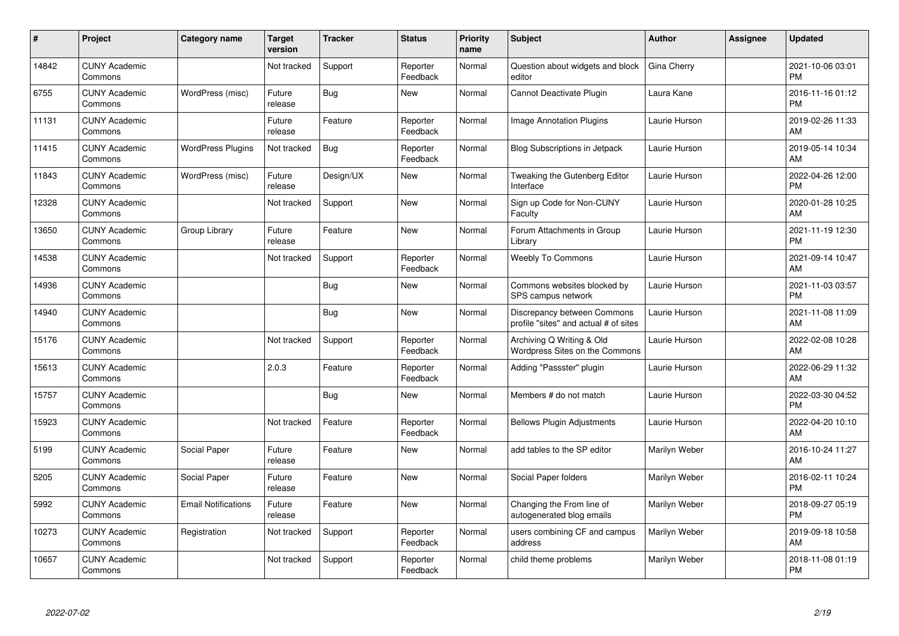| #     | Project                         | <b>Category name</b>       | <b>Target</b><br>version | <b>Tracker</b> | <b>Status</b>        | <b>Priority</b><br>name | <b>Subject</b>                                                       | <b>Author</b> | Assignee | <b>Updated</b>                |
|-------|---------------------------------|----------------------------|--------------------------|----------------|----------------------|-------------------------|----------------------------------------------------------------------|---------------|----------|-------------------------------|
| 14842 | <b>CUNY Academic</b><br>Commons |                            | Not tracked              | Support        | Reporter<br>Feedback | Normal                  | Question about widgets and block<br>editor                           | Gina Cherry   |          | 2021-10-06 03:01<br><b>PM</b> |
| 6755  | <b>CUNY Academic</b><br>Commons | WordPress (misc)           | Future<br>release        | Bug            | <b>New</b>           | Normal                  | Cannot Deactivate Plugin                                             | Laura Kane    |          | 2016-11-16 01:12<br><b>PM</b> |
| 11131 | <b>CUNY Academic</b><br>Commons |                            | Future<br>release        | Feature        | Reporter<br>Feedback | Normal                  | Image Annotation Plugins                                             | Laurie Hurson |          | 2019-02-26 11:33<br>AM        |
| 11415 | <b>CUNY Academic</b><br>Commons | <b>WordPress Plugins</b>   | Not tracked              | <b>Bug</b>     | Reporter<br>Feedback | Normal                  | <b>Blog Subscriptions in Jetpack</b>                                 | Laurie Hurson |          | 2019-05-14 10:34<br>AM        |
| 11843 | <b>CUNY Academic</b><br>Commons | WordPress (misc)           | Future<br>release        | Design/UX      | New                  | Normal                  | Tweaking the Gutenberg Editor<br>Interface                           | Laurie Hurson |          | 2022-04-26 12:00<br><b>PM</b> |
| 12328 | <b>CUNY Academic</b><br>Commons |                            | Not tracked              | Support        | <b>New</b>           | Normal                  | Sign up Code for Non-CUNY<br>Faculty                                 | Laurie Hurson |          | 2020-01-28 10:25<br>AM        |
| 13650 | <b>CUNY Academic</b><br>Commons | Group Library              | Future<br>release        | Feature        | New                  | Normal                  | Forum Attachments in Group<br>Library                                | Laurie Hurson |          | 2021-11-19 12:30<br><b>PM</b> |
| 14538 | <b>CUNY Academic</b><br>Commons |                            | Not tracked              | Support        | Reporter<br>Feedback | Normal                  | <b>Weebly To Commons</b>                                             | Laurie Hurson |          | 2021-09-14 10:47<br>AM        |
| 14936 | <b>CUNY Academic</b><br>Commons |                            |                          | <b>Bug</b>     | New                  | Normal                  | Commons websites blocked by<br>SPS campus network                    | Laurie Hurson |          | 2021-11-03 03:57<br><b>PM</b> |
| 14940 | <b>CUNY Academic</b><br>Commons |                            |                          | Bug            | New                  | Normal                  | Discrepancy between Commons<br>profile "sites" and actual # of sites | Laurie Hurson |          | 2021-11-08 11:09<br>AM        |
| 15176 | <b>CUNY Academic</b><br>Commons |                            | Not tracked              | Support        | Reporter<br>Feedback | Normal                  | Archiving Q Writing & Old<br>Wordpress Sites on the Commons          | Laurie Hurson |          | 2022-02-08 10:28<br>AM        |
| 15613 | <b>CUNY Academic</b><br>Commons |                            | 2.0.3                    | Feature        | Reporter<br>Feedback | Normal                  | Adding "Passster" plugin                                             | Laurie Hurson |          | 2022-06-29 11:32<br>AM        |
| 15757 | <b>CUNY Academic</b><br>Commons |                            |                          | Bug            | New                  | Normal                  | Members # do not match                                               | Laurie Hurson |          | 2022-03-30 04:52<br><b>PM</b> |
| 15923 | <b>CUNY Academic</b><br>Commons |                            | Not tracked              | Feature        | Reporter<br>Feedback | Normal                  | <b>Bellows Plugin Adjustments</b>                                    | Laurie Hurson |          | 2022-04-20 10:10<br>AM        |
| 5199  | <b>CUNY Academic</b><br>Commons | Social Paper               | Future<br>release        | Feature        | <b>New</b>           | Normal                  | add tables to the SP editor                                          | Marilyn Weber |          | 2016-10-24 11:27<br>AM        |
| 5205  | <b>CUNY Academic</b><br>Commons | Social Paper               | Future<br>release        | Feature        | New                  | Normal                  | Social Paper folders                                                 | Marilyn Weber |          | 2016-02-11 10:24<br><b>PM</b> |
| 5992  | <b>CUNY Academic</b><br>Commons | <b>Email Notifications</b> | Future<br>release        | Feature        | <b>New</b>           | Normal                  | Changing the From line of<br>autogenerated blog emails               | Marilyn Weber |          | 2018-09-27 05:19<br><b>PM</b> |
| 10273 | <b>CUNY Academic</b><br>Commons | Registration               | Not tracked              | Support        | Reporter<br>Feedback | Normal                  | users combining CF and campus<br>address                             | Marilyn Weber |          | 2019-09-18 10:58<br>AM        |
| 10657 | <b>CUNY Academic</b><br>Commons |                            | Not tracked              | Support        | Reporter<br>Feedback | Normal                  | child theme problems                                                 | Marilyn Weber |          | 2018-11-08 01:19<br><b>PM</b> |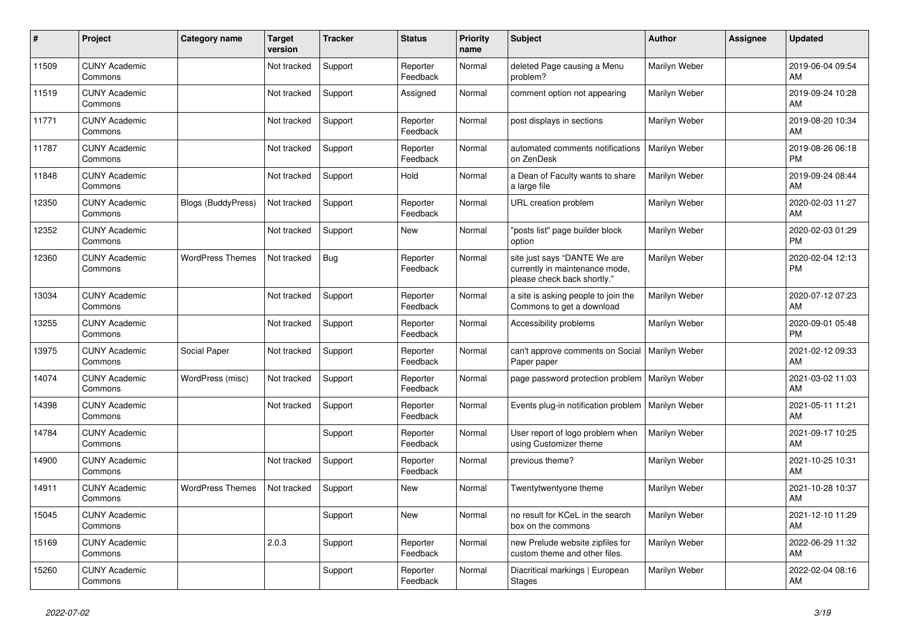| #     | Project                         | <b>Category name</b>      | <b>Target</b><br>version | <b>Tracker</b> | <b>Status</b>        | <b>Priority</b><br>name | <b>Subject</b>                                                                                | <b>Author</b> | <b>Assignee</b> | <b>Updated</b>                |
|-------|---------------------------------|---------------------------|--------------------------|----------------|----------------------|-------------------------|-----------------------------------------------------------------------------------------------|---------------|-----------------|-------------------------------|
| 11509 | <b>CUNY Academic</b><br>Commons |                           | Not tracked              | Support        | Reporter<br>Feedback | Normal                  | deleted Page causing a Menu<br>problem?                                                       | Marilyn Weber |                 | 2019-06-04 09:54<br>AM        |
| 11519 | <b>CUNY Academic</b><br>Commons |                           | Not tracked              | Support        | Assigned             | Normal                  | comment option not appearing                                                                  | Marilyn Weber |                 | 2019-09-24 10:28<br>AM        |
| 11771 | <b>CUNY Academic</b><br>Commons |                           | Not tracked              | Support        | Reporter<br>Feedback | Normal                  | post displays in sections                                                                     | Marilyn Weber |                 | 2019-08-20 10:34<br>AM        |
| 11787 | <b>CUNY Academic</b><br>Commons |                           | Not tracked              | Support        | Reporter<br>Feedback | Normal                  | automated comments notifications<br>on ZenDesk                                                | Marilyn Weber |                 | 2019-08-26 06:18<br><b>PM</b> |
| 11848 | <b>CUNY Academic</b><br>Commons |                           | Not tracked              | Support        | Hold                 | Normal                  | a Dean of Faculty wants to share<br>a large file                                              | Marilyn Weber |                 | 2019-09-24 08:44<br>AM        |
| 12350 | <b>CUNY Academic</b><br>Commons | <b>Blogs (BuddyPress)</b> | Not tracked              | Support        | Reporter<br>Feedback | Normal                  | URL creation problem                                                                          | Marilyn Weber |                 | 2020-02-03 11:27<br>AM        |
| 12352 | <b>CUNY Academic</b><br>Commons |                           | Not tracked              | Support        | <b>New</b>           | Normal                  | "posts list" page builder block<br>option                                                     | Marilyn Weber |                 | 2020-02-03 01:29<br><b>PM</b> |
| 12360 | <b>CUNY Academic</b><br>Commons | <b>WordPress Themes</b>   | Not tracked              | Bug            | Reporter<br>Feedback | Normal                  | site just says "DANTE We are<br>currently in maintenance mode,<br>please check back shortly." | Marilyn Weber |                 | 2020-02-04 12:13<br><b>PM</b> |
| 13034 | <b>CUNY Academic</b><br>Commons |                           | Not tracked              | Support        | Reporter<br>Feedback | Normal                  | a site is asking people to join the<br>Commons to get a download                              | Marilyn Weber |                 | 2020-07-12 07:23<br>AM.       |
| 13255 | <b>CUNY Academic</b><br>Commons |                           | Not tracked              | Support        | Reporter<br>Feedback | Normal                  | Accessibility problems                                                                        | Marilyn Weber |                 | 2020-09-01 05:48<br><b>PM</b> |
| 13975 | <b>CUNY Academic</b><br>Commons | Social Paper              | Not tracked              | Support        | Reporter<br>Feedback | Normal                  | can't approve comments on Social<br>Paper paper                                               | Marilyn Weber |                 | 2021-02-12 09:33<br>AM        |
| 14074 | <b>CUNY Academic</b><br>Commons | WordPress (misc)          | Not tracked              | Support        | Reporter<br>Feedback | Normal                  | page password protection problem   Marilyn Weber                                              |               |                 | 2021-03-02 11:03<br>AM        |
| 14398 | <b>CUNY Academic</b><br>Commons |                           | Not tracked              | Support        | Reporter<br>Feedback | Normal                  | Events plug-in notification problem                                                           | Marilyn Weber |                 | 2021-05-11 11:21<br>AM        |
| 14784 | <b>CUNY Academic</b><br>Commons |                           |                          | Support        | Reporter<br>Feedback | Normal                  | User report of logo problem when<br>using Customizer theme                                    | Marilyn Weber |                 | 2021-09-17 10:25<br>AM        |
| 14900 | <b>CUNY Academic</b><br>Commons |                           | Not tracked              | Support        | Reporter<br>Feedback | Normal                  | previous theme?                                                                               | Marilyn Weber |                 | 2021-10-25 10:31<br><b>AM</b> |
| 14911 | <b>CUNY Academic</b><br>Commons | <b>WordPress Themes</b>   | Not tracked              | Support        | <b>New</b>           | Normal                  | Twentytwentyone theme                                                                         | Marilyn Weber |                 | 2021-10-28 10:37<br>AM        |
| 15045 | <b>CUNY Academic</b><br>Commons |                           |                          | Support        | <b>New</b>           | Normal                  | no result for KCeL in the search<br>box on the commons                                        | Marilyn Weber |                 | 2021-12-10 11:29<br>AM        |
| 15169 | <b>CUNY Academic</b><br>Commons |                           | 2.0.3                    | Support        | Reporter<br>Feedback | Normal                  | new Prelude website zipfiles for<br>custom theme and other files.                             | Marilyn Weber |                 | 2022-06-29 11:32<br>AM        |
| 15260 | <b>CUNY Academic</b><br>Commons |                           |                          | Support        | Reporter<br>Feedback | Normal                  | Diacritical markings   European<br>Stages                                                     | Marilyn Weber |                 | 2022-02-04 08:16<br>AM        |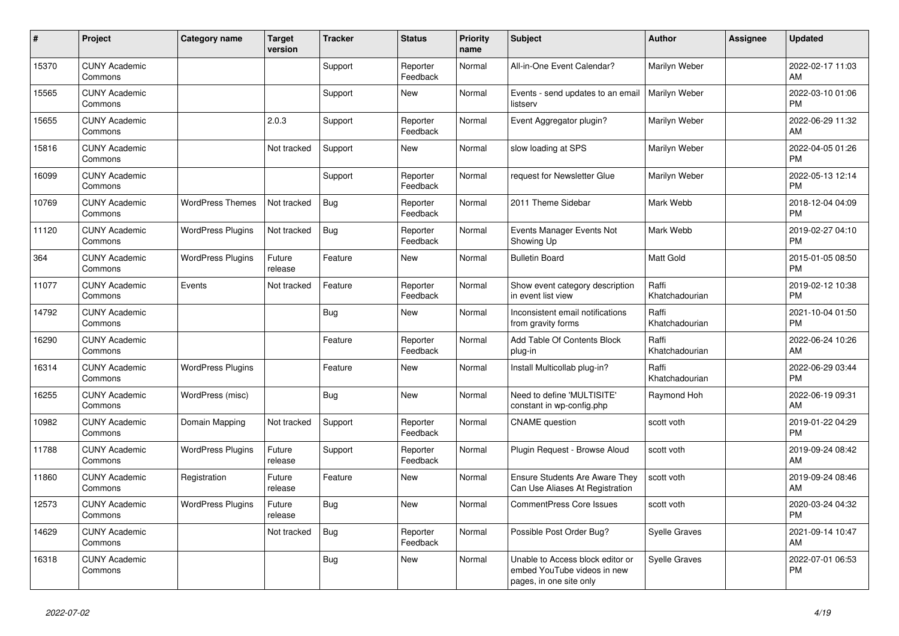| #     | Project                         | <b>Category name</b>     | <b>Target</b><br>version | <b>Tracker</b> | <b>Status</b>        | <b>Priority</b><br>name | <b>Subject</b>                                                                             | <b>Author</b>           | <b>Assignee</b> | <b>Updated</b>                |
|-------|---------------------------------|--------------------------|--------------------------|----------------|----------------------|-------------------------|--------------------------------------------------------------------------------------------|-------------------------|-----------------|-------------------------------|
| 15370 | <b>CUNY Academic</b><br>Commons |                          |                          | Support        | Reporter<br>Feedback | Normal                  | All-in-One Event Calendar?                                                                 | Marilyn Weber           |                 | 2022-02-17 11:03<br>AM        |
| 15565 | <b>CUNY Academic</b><br>Commons |                          |                          | Support        | New                  | Normal                  | Events - send updates to an email<br>listserv                                              | Marilyn Weber           |                 | 2022-03-10 01:06<br><b>PM</b> |
| 15655 | <b>CUNY Academic</b><br>Commons |                          | 2.0.3                    | Support        | Reporter<br>Feedback | Normal                  | Event Aggregator plugin?                                                                   | Marilyn Weber           |                 | 2022-06-29 11:32<br>AM        |
| 15816 | <b>CUNY Academic</b><br>Commons |                          | Not tracked              | Support        | <b>New</b>           | Normal                  | slow loading at SPS                                                                        | Marilyn Weber           |                 | 2022-04-05 01:26<br><b>PM</b> |
| 16099 | <b>CUNY Academic</b><br>Commons |                          |                          | Support        | Reporter<br>Feedback | Normal                  | request for Newsletter Glue                                                                | Marilyn Weber           |                 | 2022-05-13 12:14<br><b>PM</b> |
| 10769 | <b>CUNY Academic</b><br>Commons | <b>WordPress Themes</b>  | Not tracked              | <b>Bug</b>     | Reporter<br>Feedback | Normal                  | 2011 Theme Sidebar                                                                         | Mark Webb               |                 | 2018-12-04 04:09<br><b>PM</b> |
| 11120 | <b>CUNY Academic</b><br>Commons | <b>WordPress Plugins</b> | Not tracked              | Bug            | Reporter<br>Feedback | Normal                  | Events Manager Events Not<br>Showing Up                                                    | Mark Webb               |                 | 2019-02-27 04:10<br><b>PM</b> |
| 364   | <b>CUNY Academic</b><br>Commons | <b>WordPress Plugins</b> | Future<br>release        | Feature        | <b>New</b>           | Normal                  | <b>Bulletin Board</b>                                                                      | <b>Matt Gold</b>        |                 | 2015-01-05 08:50<br><b>PM</b> |
| 11077 | <b>CUNY Academic</b><br>Commons | Events                   | Not tracked              | Feature        | Reporter<br>Feedback | Normal                  | Show event category description<br>in event list view                                      | Raffi<br>Khatchadourian |                 | 2019-02-12 10:38<br><b>PM</b> |
| 14792 | <b>CUNY Academic</b><br>Commons |                          |                          | <b>Bug</b>     | New                  | Normal                  | Inconsistent email notifications<br>from gravity forms                                     | Raffi<br>Khatchadourian |                 | 2021-10-04 01:50<br><b>PM</b> |
| 16290 | <b>CUNY Academic</b><br>Commons |                          |                          | Feature        | Reporter<br>Feedback | Normal                  | Add Table Of Contents Block<br>plug-in                                                     | Raffi<br>Khatchadourian |                 | 2022-06-24 10:26<br>AM        |
| 16314 | <b>CUNY Academic</b><br>Commons | <b>WordPress Plugins</b> |                          | Feature        | New                  | Normal                  | Install Multicollab plug-in?                                                               | Raffi<br>Khatchadourian |                 | 2022-06-29 03:44<br><b>PM</b> |
| 16255 | <b>CUNY Academic</b><br>Commons | WordPress (misc)         |                          | Bug            | New                  | Normal                  | Need to define 'MULTISITE'<br>constant in wp-config.php                                    | Raymond Hoh             |                 | 2022-06-19 09:31<br><b>AM</b> |
| 10982 | <b>CUNY Academic</b><br>Commons | Domain Mapping           | Not tracked              | Support        | Reporter<br>Feedback | Normal                  | <b>CNAME</b> question                                                                      | scott voth              |                 | 2019-01-22 04:29<br><b>PM</b> |
| 11788 | <b>CUNY Academic</b><br>Commons | <b>WordPress Plugins</b> | Future<br>release        | Support        | Reporter<br>Feedback | Normal                  | Plugin Request - Browse Aloud                                                              | scott voth              |                 | 2019-09-24 08:42<br>AM        |
| 11860 | <b>CUNY Academic</b><br>Commons | Registration             | Future<br>release        | Feature        | New                  | Normal                  | <b>Ensure Students Are Aware They</b><br>Can Use Aliases At Registration                   | scott voth              |                 | 2019-09-24 08:46<br>AM        |
| 12573 | <b>CUNY Academic</b><br>Commons | <b>WordPress Plugins</b> | Future<br>release        | Bug            | New                  | Normal                  | <b>CommentPress Core Issues</b>                                                            | scott voth              |                 | 2020-03-24 04:32<br><b>PM</b> |
| 14629 | <b>CUNY Academic</b><br>Commons |                          | Not tracked              | <b>Bug</b>     | Reporter<br>Feedback | Normal                  | Possible Post Order Bug?                                                                   | <b>Syelle Graves</b>    |                 | 2021-09-14 10:47<br>AM        |
| 16318 | <b>CUNY Academic</b><br>Commons |                          |                          | Bug            | New                  | Normal                  | Unable to Access block editor or<br>embed YouTube videos in new<br>pages, in one site only | Syelle Graves           |                 | 2022-07-01 06:53<br><b>PM</b> |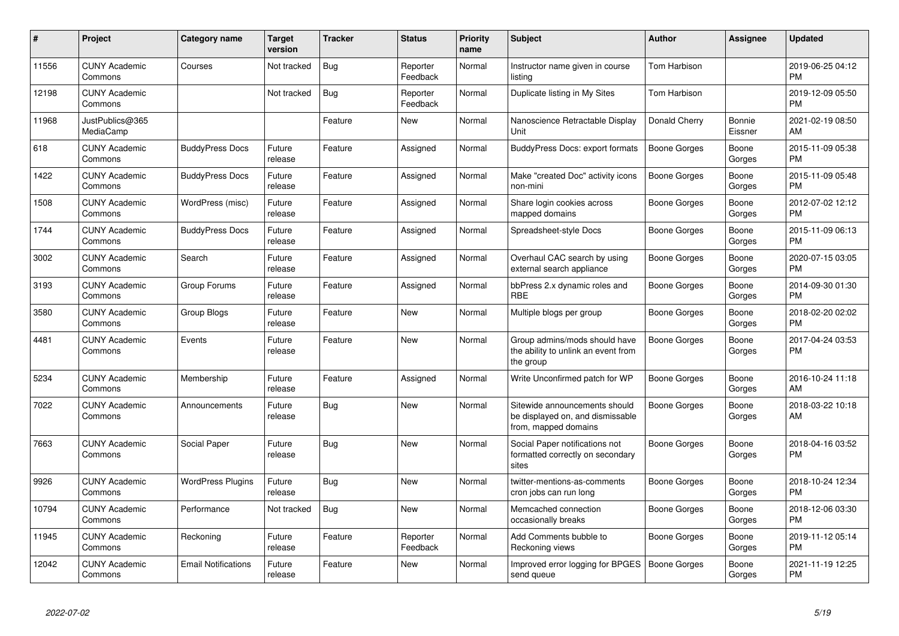| #     | Project                         | <b>Category name</b>       | <b>Target</b><br>version | <b>Tracker</b> | <b>Status</b>        | Priority<br>name | <b>Subject</b>                                                                            | <b>Author</b>       | <b>Assignee</b>   | <b>Updated</b>                |
|-------|---------------------------------|----------------------------|--------------------------|----------------|----------------------|------------------|-------------------------------------------------------------------------------------------|---------------------|-------------------|-------------------------------|
| 11556 | <b>CUNY Academic</b><br>Commons | Courses                    | Not tracked              | <b>Bug</b>     | Reporter<br>Feedback | Normal           | Instructor name given in course<br>listing                                                | Tom Harbison        |                   | 2019-06-25 04:12<br><b>PM</b> |
| 12198 | <b>CUNY Academic</b><br>Commons |                            | Not tracked              | Bug            | Reporter<br>Feedback | Normal           | Duplicate listing in My Sites                                                             | Tom Harbison        |                   | 2019-12-09 05:50<br><b>PM</b> |
| 11968 | JustPublics@365<br>MediaCamp    |                            |                          | Feature        | New                  | Normal           | Nanoscience Retractable Display<br>Unit                                                   | Donald Cherry       | Bonnie<br>Eissner | 2021-02-19 08:50<br>AM        |
| 618   | <b>CUNY Academic</b><br>Commons | <b>BuddyPress Docs</b>     | Future<br>release        | Feature        | Assigned             | Normal           | BuddyPress Docs: export formats                                                           | Boone Gorges        | Boone<br>Gorges   | 2015-11-09 05:38<br><b>PM</b> |
| 1422  | <b>CUNY Academic</b><br>Commons | <b>BuddyPress Docs</b>     | Future<br>release        | Feature        | Assigned             | Normal           | Make "created Doc" activity icons<br>non-mini                                             | <b>Boone Gorges</b> | Boone<br>Gorges   | 2015-11-09 05:48<br><b>PM</b> |
| 1508  | <b>CUNY Academic</b><br>Commons | WordPress (misc)           | Future<br>release        | Feature        | Assigned             | Normal           | Share login cookies across<br>mapped domains                                              | <b>Boone Gorges</b> | Boone<br>Gorges   | 2012-07-02 12:12<br><b>PM</b> |
| 1744  | <b>CUNY Academic</b><br>Commons | <b>BuddyPress Docs</b>     | Future<br>release        | Feature        | Assigned             | Normal           | Spreadsheet-style Docs                                                                    | Boone Gorges        | Boone<br>Gorges   | 2015-11-09 06:13<br><b>PM</b> |
| 3002  | <b>CUNY Academic</b><br>Commons | Search                     | Future<br>release        | Feature        | Assigned             | Normal           | Overhaul CAC search by using<br>external search appliance                                 | Boone Gorges        | Boone<br>Gorges   | 2020-07-15 03:05<br>PM.       |
| 3193  | <b>CUNY Academic</b><br>Commons | Group Forums               | Future<br>release        | Feature        | Assigned             | Normal           | bbPress 2.x dynamic roles and<br><b>RBE</b>                                               | Boone Gorges        | Boone<br>Gorges   | 2014-09-30 01:30<br><b>PM</b> |
| 3580  | <b>CUNY Academic</b><br>Commons | Group Blogs                | Future<br>release        | Feature        | New                  | Normal           | Multiple blogs per group                                                                  | Boone Gorges        | Boone<br>Gorges   | 2018-02-20 02:02<br><b>PM</b> |
| 4481  | <b>CUNY Academic</b><br>Commons | Events                     | Future<br>release        | Feature        | New                  | Normal           | Group admins/mods should have<br>the ability to unlink an event from<br>the group         | Boone Gorges        | Boone<br>Gorges   | 2017-04-24 03:53<br><b>PM</b> |
| 5234  | <b>CUNY Academic</b><br>Commons | Membership                 | Future<br>release        | Feature        | Assigned             | Normal           | Write Unconfirmed patch for WP                                                            | Boone Gorges        | Boone<br>Gorges   | 2016-10-24 11:18<br>AM        |
| 7022  | <b>CUNY Academic</b><br>Commons | Announcements              | Future<br>release        | Bug            | New                  | Normal           | Sitewide announcements should<br>be displayed on, and dismissable<br>from, mapped domains | Boone Gorges        | Boone<br>Gorges   | 2018-03-22 10:18<br>AM        |
| 7663  | <b>CUNY Academic</b><br>Commons | Social Paper               | Future<br>release        | Bug            | New                  | Normal           | Social Paper notifications not<br>formatted correctly on secondary<br>sites               | Boone Gorges        | Boone<br>Gorges   | 2018-04-16 03:52<br><b>PM</b> |
| 9926  | <b>CUNY Academic</b><br>Commons | <b>WordPress Plugins</b>   | Future<br>release        | Bug            | <b>New</b>           | Normal           | twitter-mentions-as-comments<br>cron jobs can run long                                    | Boone Gorges        | Boone<br>Gorges   | 2018-10-24 12:34<br><b>PM</b> |
| 10794 | <b>CUNY Academic</b><br>Commons | Performance                | Not tracked              | <b>Bug</b>     | <b>New</b>           | Normal           | Memcached connection<br>occasionally breaks                                               | Boone Gorges        | Boone<br>Gorges   | 2018-12-06 03:30<br><b>PM</b> |
| 11945 | <b>CUNY Academic</b><br>Commons | Reckoning                  | Future<br>release        | Feature        | Reporter<br>Feedback | Normal           | Add Comments bubble to<br>Reckoning views                                                 | Boone Gorges        | Boone<br>Gorges   | 2019-11-12 05:14<br>PM        |
| 12042 | <b>CUNY Academic</b><br>Commons | <b>Email Notifications</b> | Future<br>release        | Feature        | New                  | Normal           | Improved error logging for BPGES<br>send queue                                            | Boone Gorges        | Boone<br>Gorges   | 2021-11-19 12:25<br>PM        |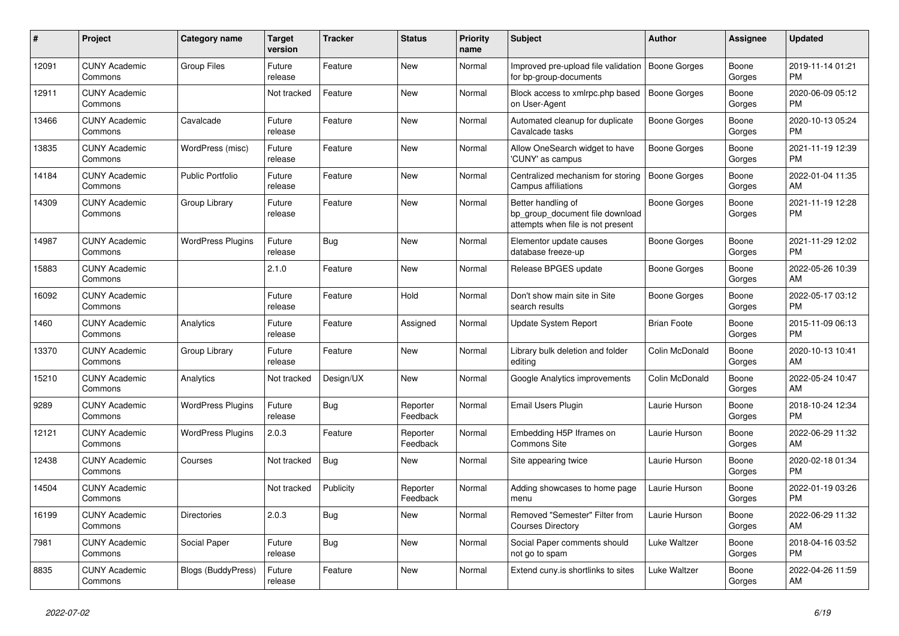| $\pmb{\sharp}$ | Project                         | <b>Category name</b>      | <b>Target</b><br>version | <b>Tracker</b> | <b>Status</b>        | <b>Priority</b><br>name | <b>Subject</b>                                                                             | <b>Author</b>       | <b>Assignee</b> | <b>Updated</b>                |
|----------------|---------------------------------|---------------------------|--------------------------|----------------|----------------------|-------------------------|--------------------------------------------------------------------------------------------|---------------------|-----------------|-------------------------------|
| 12091          | <b>CUNY Academic</b><br>Commons | <b>Group Files</b>        | Future<br>release        | Feature        | New                  | Normal                  | Improved pre-upload file validation<br>for bp-group-documents                              | Boone Gorges        | Boone<br>Gorges | 2019-11-14 01:21<br><b>PM</b> |
| 12911          | <b>CUNY Academic</b><br>Commons |                           | Not tracked              | Feature        | New                  | Normal                  | Block access to xmlrpc.php based<br>on User-Agent                                          | <b>Boone Gorges</b> | Boone<br>Gorges | 2020-06-09 05:12<br><b>PM</b> |
| 13466          | <b>CUNY Academic</b><br>Commons | Cavalcade                 | Future<br>release        | Feature        | New                  | Normal                  | Automated cleanup for duplicate<br>Cavalcade tasks                                         | Boone Gorges        | Boone<br>Gorges | 2020-10-13 05:24<br><b>PM</b> |
| 13835          | <b>CUNY Academic</b><br>Commons | WordPress (misc)          | Future<br>release        | Feature        | New                  | Normal                  | Allow OneSearch widget to have<br>'CUNY' as campus                                         | Boone Gorges        | Boone<br>Gorges | 2021-11-19 12:39<br><b>PM</b> |
| 14184          | <b>CUNY Academic</b><br>Commons | <b>Public Portfolio</b>   | Future<br>release        | Feature        | New                  | Normal                  | Centralized mechanism for storing<br>Campus affiliations                                   | <b>Boone Gorges</b> | Boone<br>Gorges | 2022-01-04 11:35<br>AM        |
| 14309          | <b>CUNY Academic</b><br>Commons | Group Library             | Future<br>release        | Feature        | New                  | Normal                  | Better handling of<br>bp_group_document file download<br>attempts when file is not present | Boone Gorges        | Boone<br>Gorges | 2021-11-19 12:28<br><b>PM</b> |
| 14987          | <b>CUNY Academic</b><br>Commons | <b>WordPress Plugins</b>  | Future<br>release        | Bug            | <b>New</b>           | Normal                  | Elementor update causes<br>database freeze-up                                              | Boone Gorges        | Boone<br>Gorges | 2021-11-29 12:02<br><b>PM</b> |
| 15883          | <b>CUNY Academic</b><br>Commons |                           | 2.1.0                    | Feature        | New                  | Normal                  | Release BPGES update                                                                       | Boone Gorges        | Boone<br>Gorges | 2022-05-26 10:39<br>AM        |
| 16092          | <b>CUNY Academic</b><br>Commons |                           | Future<br>release        | Feature        | Hold                 | Normal                  | Don't show main site in Site<br>search results                                             | Boone Gorges        | Boone<br>Gorges | 2022-05-17 03:12<br><b>PM</b> |
| 1460           | <b>CUNY Academic</b><br>Commons | Analytics                 | Future<br>release        | Feature        | Assigned             | Normal                  | Update System Report                                                                       | <b>Brian Foote</b>  | Boone<br>Gorges | 2015-11-09 06:13<br><b>PM</b> |
| 13370          | <b>CUNY Academic</b><br>Commons | Group Library             | Future<br>release        | Feature        | New                  | Normal                  | Library bulk deletion and folder<br>editing                                                | Colin McDonald      | Boone<br>Gorges | 2020-10-13 10:41<br>AM        |
| 15210          | <b>CUNY Academic</b><br>Commons | Analytics                 | Not tracked              | Design/UX      | New                  | Normal                  | Google Analytics improvements                                                              | Colin McDonald      | Boone<br>Gorges | 2022-05-24 10:47<br>AM        |
| 9289           | <b>CUNY Academic</b><br>Commons | <b>WordPress Plugins</b>  | Future<br>release        | <b>Bug</b>     | Reporter<br>Feedback | Normal                  | <b>Email Users Plugin</b>                                                                  | Laurie Hurson       | Boone<br>Gorges | 2018-10-24 12:34<br><b>PM</b> |
| 12121          | <b>CUNY Academic</b><br>Commons | <b>WordPress Plugins</b>  | 2.0.3                    | Feature        | Reporter<br>Feedback | Normal                  | Embedding H5P Iframes on<br>Commons Site                                                   | Laurie Hurson       | Boone<br>Gorges | 2022-06-29 11:32<br>AM        |
| 12438          | <b>CUNY Academic</b><br>Commons | Courses                   | Not tracked              | <b>Bug</b>     | New                  | Normal                  | Site appearing twice                                                                       | Laurie Hurson       | Boone<br>Gorges | 2020-02-18 01:34<br><b>PM</b> |
| 14504          | <b>CUNY Academic</b><br>Commons |                           | Not tracked              | Publicity      | Reporter<br>Feedback | Normal                  | Adding showcases to home page<br>menu                                                      | Laurie Hurson       | Boone<br>Gorges | 2022-01-19 03:26<br><b>PM</b> |
| 16199          | <b>CUNY Academic</b><br>Commons | <b>Directories</b>        | 2.0.3                    | Bug            | New                  | Normal                  | Removed "Semester" Filter from<br><b>Courses Directory</b>                                 | Laurie Hurson       | Boone<br>Gorges | 2022-06-29 11:32<br>AM        |
| 7981           | <b>CUNY Academic</b><br>Commons | Social Paper              | Future<br>release        | Bug            | New                  | Normal                  | Social Paper comments should<br>not go to spam                                             | Luke Waltzer        | Boone<br>Gorges | 2018-04-16 03:52<br><b>PM</b> |
| 8835           | <b>CUNY Academic</b><br>Commons | <b>Blogs (BuddyPress)</b> | Future<br>release        | Feature        | <b>New</b>           | Normal                  | Extend cuny.is shortlinks to sites                                                         | Luke Waltzer        | Boone<br>Gorges | 2022-04-26 11:59<br>AM        |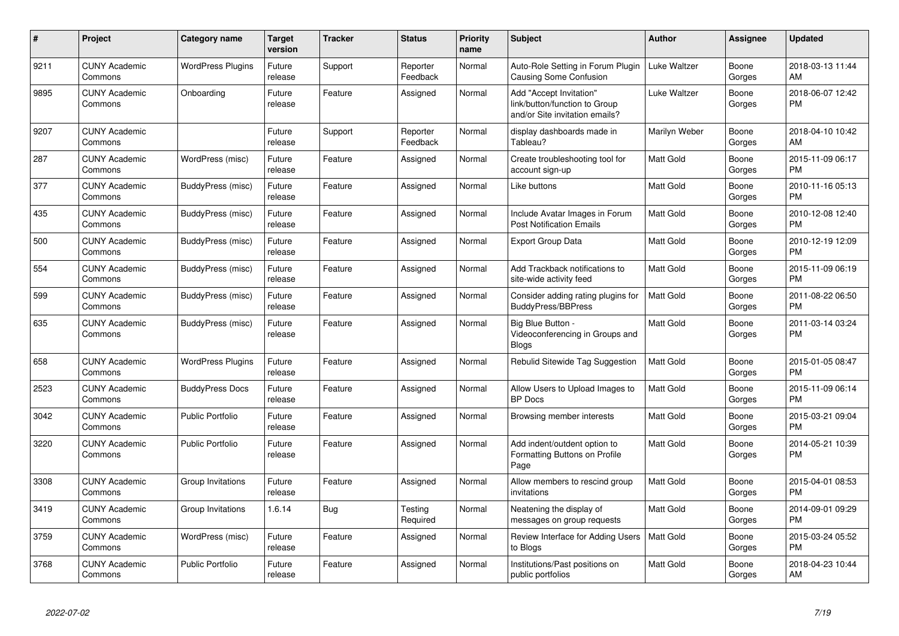| #    | <b>Project</b>                  | Category name            | <b>Target</b><br>version | <b>Tracker</b> | <b>Status</b>        | <b>Priority</b><br>name | <b>Subject</b>                                                                             | <b>Author</b>    | Assignee        | <b>Updated</b>                |
|------|---------------------------------|--------------------------|--------------------------|----------------|----------------------|-------------------------|--------------------------------------------------------------------------------------------|------------------|-----------------|-------------------------------|
| 9211 | <b>CUNY Academic</b><br>Commons | <b>WordPress Plugins</b> | Future<br>release        | Support        | Reporter<br>Feedback | Normal                  | Auto-Role Setting in Forum Plugin<br>Causing Some Confusion                                | Luke Waltzer     | Boone<br>Gorges | 2018-03-13 11:44<br>AM        |
| 9895 | <b>CUNY Academic</b><br>Commons | Onboarding               | Future<br>release        | Feature        | Assigned             | Normal                  | Add "Accept Invitation"<br>link/button/function to Group<br>and/or Site invitation emails? | Luke Waltzer     | Boone<br>Gorges | 2018-06-07 12:42<br><b>PM</b> |
| 9207 | <b>CUNY Academic</b><br>Commons |                          | Future<br>release        | Support        | Reporter<br>Feedback | Normal                  | display dashboards made in<br>Tableau?                                                     | Marilyn Weber    | Boone<br>Gorges | 2018-04-10 10:42<br>AM        |
| 287  | <b>CUNY Academic</b><br>Commons | WordPress (misc)         | Future<br>release        | Feature        | Assigned             | Normal                  | Create troubleshooting tool for<br>account sign-up                                         | Matt Gold        | Boone<br>Gorges | 2015-11-09 06:17<br><b>PM</b> |
| 377  | <b>CUNY Academic</b><br>Commons | BuddyPress (misc)        | Future<br>release        | Feature        | Assigned             | Normal                  | Like buttons                                                                               | Matt Gold        | Boone<br>Gorges | 2010-11-16 05:13<br><b>PM</b> |
| 435  | <b>CUNY Academic</b><br>Commons | BuddyPress (misc)        | Future<br>release        | Feature        | Assigned             | Normal                  | Include Avatar Images in Forum<br><b>Post Notification Emails</b>                          | <b>Matt Gold</b> | Boone<br>Gorges | 2010-12-08 12:40<br><b>PM</b> |
| 500  | <b>CUNY Academic</b><br>Commons | BuddyPress (misc)        | Future<br>release        | Feature        | Assigned             | Normal                  | <b>Export Group Data</b>                                                                   | Matt Gold        | Boone<br>Gorges | 2010-12-19 12:09<br><b>PM</b> |
| 554  | <b>CUNY Academic</b><br>Commons | BuddyPress (misc)        | Future<br>release        | Feature        | Assigned             | Normal                  | Add Trackback notifications to<br>site-wide activity feed                                  | <b>Matt Gold</b> | Boone<br>Gorges | 2015-11-09 06:19<br><b>PM</b> |
| 599  | <b>CUNY Academic</b><br>Commons | BuddyPress (misc)        | Future<br>release        | Feature        | Assigned             | Normal                  | Consider adding rating plugins for<br><b>BuddyPress/BBPress</b>                            | <b>Matt Gold</b> | Boone<br>Gorges | 2011-08-22 06:50<br><b>PM</b> |
| 635  | <b>CUNY Academic</b><br>Commons | BuddyPress (misc)        | Future<br>release        | Feature        | Assigned             | Normal                  | Big Blue Button -<br>Videoconferencing in Groups and<br><b>Blogs</b>                       | Matt Gold        | Boone<br>Gorges | 2011-03-14 03:24<br><b>PM</b> |
| 658  | <b>CUNY Academic</b><br>Commons | <b>WordPress Plugins</b> | Future<br>release        | Feature        | Assigned             | Normal                  | Rebulid Sitewide Tag Suggestion                                                            | <b>Matt Gold</b> | Boone<br>Gorges | 2015-01-05 08:47<br><b>PM</b> |
| 2523 | <b>CUNY Academic</b><br>Commons | <b>BuddyPress Docs</b>   | Future<br>release        | Feature        | Assigned             | Normal                  | Allow Users to Upload Images to<br><b>BP</b> Docs                                          | <b>Matt Gold</b> | Boone<br>Gorges | 2015-11-09 06:14<br><b>PM</b> |
| 3042 | <b>CUNY Academic</b><br>Commons | <b>Public Portfolio</b>  | Future<br>release        | Feature        | Assigned             | Normal                  | Browsing member interests                                                                  | <b>Matt Gold</b> | Boone<br>Gorges | 2015-03-21 09:04<br><b>PM</b> |
| 3220 | <b>CUNY Academic</b><br>Commons | <b>Public Portfolio</b>  | Future<br>release        | Feature        | Assigned             | Normal                  | Add indent/outdent option to<br>Formatting Buttons on Profile<br>Page                      | <b>Matt Gold</b> | Boone<br>Gorges | 2014-05-21 10:39<br><b>PM</b> |
| 3308 | <b>CUNY Academic</b><br>Commons | Group Invitations        | Future<br>release        | Feature        | Assigned             | Normal                  | Allow members to rescind group<br>invitations                                              | <b>Matt Gold</b> | Boone<br>Gorges | 2015-04-01 08:53<br><b>PM</b> |
| 3419 | <b>CUNY Academic</b><br>Commons | Group Invitations        | 1.6.14                   | Bug            | Testing<br>Required  | Normal                  | Neatening the display of<br>messages on group requests                                     | <b>Matt Gold</b> | Boone<br>Gorges | 2014-09-01 09:29<br><b>PM</b> |
| 3759 | <b>CUNY Academic</b><br>Commons | WordPress (misc)         | Future<br>release        | Feature        | Assigned             | Normal                  | Review Interface for Adding Users<br>to Blogs                                              | <b>Matt Gold</b> | Boone<br>Gorges | 2015-03-24 05:52<br><b>PM</b> |
| 3768 | <b>CUNY Academic</b><br>Commons | Public Portfolio         | Future<br>release        | Feature        | Assigned             | Normal                  | Institutions/Past positions on<br>public portfolios                                        | Matt Gold        | Boone<br>Gorges | 2018-04-23 10:44<br>AM        |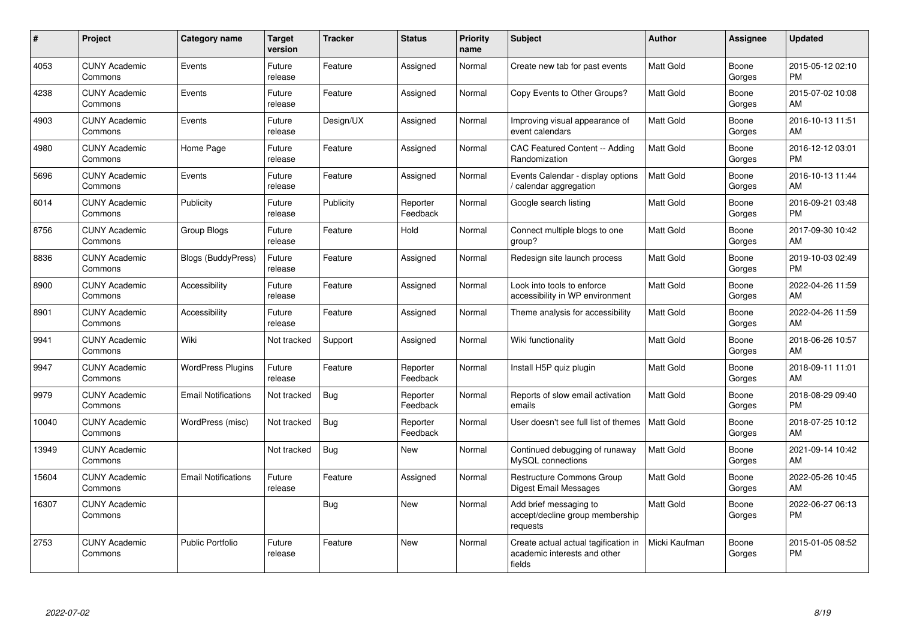| #     | Project                         | <b>Category name</b>       | <b>Target</b><br>version | <b>Tracker</b> | <b>Status</b>        | Priority<br>name | <b>Subject</b>                                                                 | <b>Author</b>    | <b>Assignee</b> | <b>Updated</b>                |
|-------|---------------------------------|----------------------------|--------------------------|----------------|----------------------|------------------|--------------------------------------------------------------------------------|------------------|-----------------|-------------------------------|
| 4053  | <b>CUNY Academic</b><br>Commons | Events                     | Future<br>release        | Feature        | Assigned             | Normal           | Create new tab for past events                                                 | Matt Gold        | Boone<br>Gorges | 2015-05-12 02:10<br><b>PM</b> |
| 4238  | <b>CUNY Academic</b><br>Commons | Events                     | Future<br>release        | Feature        | Assigned             | Normal           | Copy Events to Other Groups?                                                   | Matt Gold        | Boone<br>Gorges | 2015-07-02 10:08<br>AM        |
| 4903  | <b>CUNY Academic</b><br>Commons | Events                     | Future<br>release        | Design/UX      | Assigned             | Normal           | Improving visual appearance of<br>event calendars                              | Matt Gold        | Boone<br>Gorges | 2016-10-13 11:51<br>AM        |
| 4980  | <b>CUNY Academic</b><br>Commons | Home Page                  | Future<br>release        | Feature        | Assigned             | Normal           | <b>CAC Featured Content -- Adding</b><br>Randomization                         | Matt Gold        | Boone<br>Gorges | 2016-12-12 03:01<br><b>PM</b> |
| 5696  | <b>CUNY Academic</b><br>Commons | Events                     | Future<br>release        | Feature        | Assigned             | Normal           | Events Calendar - display options<br>/ calendar aggregation                    | <b>Matt Gold</b> | Boone<br>Gorges | 2016-10-13 11:44<br><b>AM</b> |
| 6014  | <b>CUNY Academic</b><br>Commons | Publicity                  | Future<br>release        | Publicity      | Reporter<br>Feedback | Normal           | Google search listing                                                          | <b>Matt Gold</b> | Boone<br>Gorges | 2016-09-21 03:48<br><b>PM</b> |
| 8756  | <b>CUNY Academic</b><br>Commons | Group Blogs                | Future<br>release        | Feature        | Hold                 | Normal           | Connect multiple blogs to one<br>group?                                        | Matt Gold        | Boone<br>Gorges | 2017-09-30 10:42<br>AM        |
| 8836  | <b>CUNY Academic</b><br>Commons | <b>Blogs (BuddyPress)</b>  | Future<br>release        | Feature        | Assigned             | Normal           | Redesign site launch process                                                   | Matt Gold        | Boone<br>Gorges | 2019-10-03 02:49<br>PM.       |
| 8900  | <b>CUNY Academic</b><br>Commons | Accessibility              | Future<br>release        | Feature        | Assigned             | Normal           | Look into tools to enforce<br>accessibility in WP environment                  | Matt Gold        | Boone<br>Gorges | 2022-04-26 11:59<br>AM        |
| 8901  | <b>CUNY Academic</b><br>Commons | Accessibility              | Future<br>release        | Feature        | Assigned             | Normal           | Theme analysis for accessibility                                               | <b>Matt Gold</b> | Boone<br>Gorges | 2022-04-26 11:59<br>AM        |
| 9941  | <b>CUNY Academic</b><br>Commons | Wiki                       | Not tracked              | Support        | Assigned             | Normal           | Wiki functionality                                                             | <b>Matt Gold</b> | Boone<br>Gorges | 2018-06-26 10:57<br><b>AM</b> |
| 9947  | <b>CUNY Academic</b><br>Commons | <b>WordPress Plugins</b>   | Future<br>release        | Feature        | Reporter<br>Feedback | Normal           | Install H5P quiz plugin                                                        | <b>Matt Gold</b> | Boone<br>Gorges | 2018-09-11 11:01<br>AM.       |
| 9979  | <b>CUNY Academic</b><br>Commons | <b>Email Notifications</b> | Not tracked              | <b>Bug</b>     | Reporter<br>Feedback | Normal           | Reports of slow email activation<br>emails                                     | Matt Gold        | Boone<br>Gorges | 2018-08-29 09:40<br><b>PM</b> |
| 10040 | <b>CUNY Academic</b><br>Commons | WordPress (misc)           | Not tracked              | Bug            | Reporter<br>Feedback | Normal           | User doesn't see full list of themes                                           | <b>Matt Gold</b> | Boone<br>Gorges | 2018-07-25 10:12<br>AM        |
| 13949 | <b>CUNY Academic</b><br>Commons |                            | Not tracked              | Bug            | New                  | Normal           | Continued debugging of runaway<br>MySQL connections                            | Matt Gold        | Boone<br>Gorges | 2021-09-14 10:42<br>AM        |
| 15604 | <b>CUNY Academic</b><br>Commons | <b>Email Notifications</b> | Future<br>release        | Feature        | Assigned             | Normal           | Restructure Commons Group<br>Digest Email Messages                             | Matt Gold        | Boone<br>Gorges | 2022-05-26 10:45<br>AM        |
| 16307 | <b>CUNY Academic</b><br>Commons |                            |                          | <b>Bug</b>     | <b>New</b>           | Normal           | Add brief messaging to<br>accept/decline group membership<br>requests          | <b>Matt Gold</b> | Boone<br>Gorges | 2022-06-27 06:13<br><b>PM</b> |
| 2753  | <b>CUNY Academic</b><br>Commons | Public Portfolio           | Future<br>release        | Feature        | <b>New</b>           | Normal           | Create actual actual tagification in<br>academic interests and other<br>fields | Micki Kaufman    | Boone<br>Gorges | 2015-01-05 08:52<br><b>PM</b> |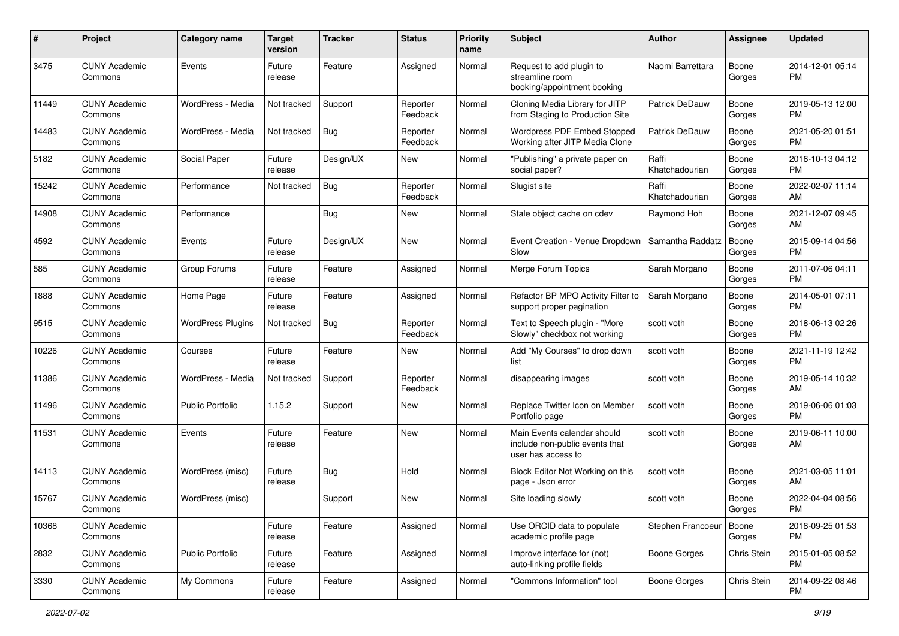| #     | Project                         | <b>Category name</b>     | <b>Target</b><br>version | <b>Tracker</b> | <b>Status</b>        | <b>Priority</b><br>name | <b>Subject</b>                                                                      | <b>Author</b>           | <b>Assignee</b> | <b>Updated</b>                |
|-------|---------------------------------|--------------------------|--------------------------|----------------|----------------------|-------------------------|-------------------------------------------------------------------------------------|-------------------------|-----------------|-------------------------------|
| 3475  | <b>CUNY Academic</b><br>Commons | Events                   | Future<br>release        | Feature        | Assigned             | Normal                  | Request to add plugin to<br>streamline room<br>booking/appointment booking          | Naomi Barrettara        | Boone<br>Gorges | 2014-12-01 05:14<br>PM.       |
| 11449 | <b>CUNY Academic</b><br>Commons | WordPress - Media        | Not tracked              | Support        | Reporter<br>Feedback | Normal                  | Cloning Media Library for JITP<br>from Staging to Production Site                   | Patrick DeDauw          | Boone<br>Gorges | 2019-05-13 12:00<br>PM        |
| 14483 | <b>CUNY Academic</b><br>Commons | WordPress - Media        | Not tracked              | Bug            | Reporter<br>Feedback | Normal                  | Wordpress PDF Embed Stopped<br>Working after JITP Media Clone                       | Patrick DeDauw          | Boone<br>Gorges | 2021-05-20 01:51<br><b>PM</b> |
| 5182  | <b>CUNY Academic</b><br>Commons | Social Paper             | Future<br>release        | Design/UX      | New                  | Normal                  | "Publishing" a private paper on<br>social paper?                                    | Raffi<br>Khatchadourian | Boone<br>Gorges | 2016-10-13 04:12<br><b>PM</b> |
| 15242 | <b>CUNY Academic</b><br>Commons | Performance              | Not tracked              | Bug            | Reporter<br>Feedback | Normal                  | Slugist site                                                                        | Raffi<br>Khatchadourian | Boone<br>Gorges | 2022-02-07 11:14<br>AM        |
| 14908 | <b>CUNY Academic</b><br>Commons | Performance              |                          | Bug            | New                  | Normal                  | Stale object cache on cdev                                                          | Raymond Hoh             | Boone<br>Gorges | 2021-12-07 09:45<br>AM        |
| 4592  | <b>CUNY Academic</b><br>Commons | Events                   | Future<br>release        | Design/UX      | New                  | Normal                  | Event Creation - Venue Dropdown<br>Slow                                             | Samantha Raddatz        | Boone<br>Gorges | 2015-09-14 04:56<br><b>PM</b> |
| 585   | <b>CUNY Academic</b><br>Commons | Group Forums             | Future<br>release        | Feature        | Assigned             | Normal                  | Merge Forum Topics                                                                  | Sarah Morgano           | Boone<br>Gorges | 2011-07-06 04:11<br><b>PM</b> |
| 1888  | <b>CUNY Academic</b><br>Commons | Home Page                | Future<br>release        | Feature        | Assigned             | Normal                  | Refactor BP MPO Activity Filter to<br>support proper pagination                     | Sarah Morgano           | Boone<br>Gorges | 2014-05-01 07:11<br>PM        |
| 9515  | <b>CUNY Academic</b><br>Commons | <b>WordPress Plugins</b> | Not tracked              | <b>Bug</b>     | Reporter<br>Feedback | Normal                  | Text to Speech plugin - "More<br>Slowly" checkbox not working                       | scott voth              | Boone<br>Gorges | 2018-06-13 02:26<br><b>PM</b> |
| 10226 | <b>CUNY Academic</b><br>Commons | Courses                  | Future<br>release        | Feature        | New                  | Normal                  | Add "My Courses" to drop down<br>list                                               | scott voth              | Boone<br>Gorges | 2021-11-19 12:42<br><b>PM</b> |
| 11386 | <b>CUNY Academic</b><br>Commons | WordPress - Media        | Not tracked              | Support        | Reporter<br>Feedback | Normal                  | disappearing images                                                                 | scott voth              | Boone<br>Gorges | 2019-05-14 10:32<br>AM        |
| 11496 | <b>CUNY Academic</b><br>Commons | Public Portfolio         | 1.15.2                   | Support        | New                  | Normal                  | Replace Twitter Icon on Member<br>Portfolio page                                    | scott voth              | Boone<br>Gorges | 2019-06-06 01:03<br><b>PM</b> |
| 11531 | <b>CUNY Academic</b><br>Commons | Events                   | Future<br>release        | Feature        | New                  | Normal                  | Main Events calendar should<br>include non-public events that<br>user has access to | scott voth              | Boone<br>Gorges | 2019-06-11 10:00<br>AM        |
| 14113 | <b>CUNY Academic</b><br>Commons | WordPress (misc)         | Future<br>release        | Bug            | Hold                 | Normal                  | Block Editor Not Working on this<br>page - Json error                               | scott voth              | Boone<br>Gorges | 2021-03-05 11:01<br>AM        |
| 15767 | <b>CUNY Academic</b><br>Commons | WordPress (misc)         |                          | Support        | New                  | Normal                  | Site loading slowly                                                                 | scott voth              | Boone<br>Gorges | 2022-04-04 08:56<br>PM        |
| 10368 | <b>CUNY Academic</b><br>Commons |                          | Future<br>release        | Feature        | Assigned             | Normal                  | Use ORCID data to populate<br>academic profile page                                 | Stephen Francoeur       | Boone<br>Gorges | 2018-09-25 01:53<br><b>PM</b> |
| 2832  | <b>CUNY Academic</b><br>Commons | Public Portfolio         | Future<br>release        | Feature        | Assigned             | Normal                  | Improve interface for (not)<br>auto-linking profile fields                          | Boone Gorges            | Chris Stein     | 2015-01-05 08:52<br><b>PM</b> |
| 3330  | <b>CUNY Academic</b><br>Commons | My Commons               | Future<br>release        | Feature        | Assigned             | Normal                  | "Commons Information" tool                                                          | Boone Gorges            | Chris Stein     | 2014-09-22 08:46<br>PM        |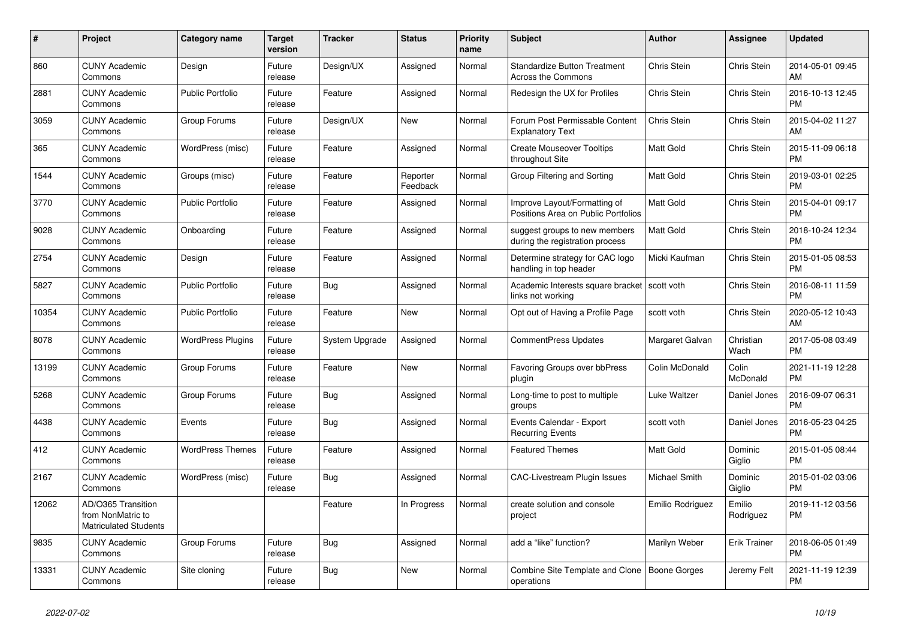| #     | Project                                                                 | <b>Category name</b>     | <b>Target</b><br>version | <b>Tracker</b> | <b>Status</b>        | <b>Priority</b><br>name | <b>Subject</b>                                                      | <b>Author</b>    | Assignee                 | <b>Updated</b>                |
|-------|-------------------------------------------------------------------------|--------------------------|--------------------------|----------------|----------------------|-------------------------|---------------------------------------------------------------------|------------------|--------------------------|-------------------------------|
| 860   | <b>CUNY Academic</b><br>Commons                                         | Design                   | Future<br>release        | Design/UX      | Assigned             | Normal                  | <b>Standardize Button Treatment</b><br><b>Across the Commons</b>    | Chris Stein      | Chris Stein              | 2014-05-01 09:45<br>AM        |
| 2881  | <b>CUNY Academic</b><br>Commons                                         | <b>Public Portfolio</b>  | Future<br>release        | Feature        | Assigned             | Normal                  | Redesign the UX for Profiles                                        | Chris Stein      | Chris Stein              | 2016-10-13 12:45<br><b>PM</b> |
| 3059  | <b>CUNY Academic</b><br>Commons                                         | Group Forums             | Future<br>release        | Design/UX      | New                  | Normal                  | Forum Post Permissable Content<br><b>Explanatory Text</b>           | Chris Stein      | Chris Stein              | 2015-04-02 11:27<br>AM        |
| 365   | <b>CUNY Academic</b><br>Commons                                         | WordPress (misc)         | Future<br>release        | Feature        | Assigned             | Normal                  | <b>Create Mouseover Tooltips</b><br>throughout Site                 | <b>Matt Gold</b> | Chris Stein              | 2015-11-09 06:18<br><b>PM</b> |
| 1544  | <b>CUNY Academic</b><br>Commons                                         | Groups (misc)            | Future<br>release        | Feature        | Reporter<br>Feedback | Normal                  | Group Filtering and Sorting                                         | <b>Matt Gold</b> | Chris Stein              | 2019-03-01 02:25<br><b>PM</b> |
| 3770  | <b>CUNY Academic</b><br>Commons                                         | <b>Public Portfolio</b>  | Future<br>release        | Feature        | Assigned             | Normal                  | Improve Layout/Formatting of<br>Positions Area on Public Portfolios | Matt Gold        | Chris Stein              | 2015-04-01 09:17<br><b>PM</b> |
| 9028  | <b>CUNY Academic</b><br>Commons                                         | Onboarding               | Future<br>release        | Feature        | Assigned             | Normal                  | suggest groups to new members<br>during the registration process    | <b>Matt Gold</b> | Chris Stein              | 2018-10-24 12:34<br><b>PM</b> |
| 2754  | <b>CUNY Academic</b><br>Commons                                         | Design                   | Future<br>release        | Feature        | Assigned             | Normal                  | Determine strategy for CAC logo<br>handling in top header           | Micki Kaufman    | Chris Stein              | 2015-01-05 08:53<br><b>PM</b> |
| 5827  | <b>CUNY Academic</b><br>Commons                                         | <b>Public Portfolio</b>  | Future<br>release        | Bug            | Assigned             | Normal                  | Academic Interests square bracket<br>links not working              | scott voth       | Chris Stein              | 2016-08-11 11:59<br><b>PM</b> |
| 10354 | <b>CUNY Academic</b><br>Commons                                         | <b>Public Portfolio</b>  | Future<br>release        | Feature        | <b>New</b>           | Normal                  | Opt out of Having a Profile Page                                    | scott voth       | Chris Stein              | 2020-05-12 10:43<br>AM        |
| 8078  | <b>CUNY Academic</b><br>Commons                                         | <b>WordPress Plugins</b> | Future<br>release        | System Upgrade | Assigned             | Normal                  | <b>CommentPress Updates</b>                                         | Margaret Galvan  | Christian<br>Wach        | 2017-05-08 03:49<br><b>PM</b> |
| 13199 | <b>CUNY Academic</b><br>Commons                                         | Group Forums             | Future<br>release        | Feature        | New                  | Normal                  | Favoring Groups over bbPress<br>plugin                              | Colin McDonald   | Colin<br><b>McDonald</b> | 2021-11-19 12:28<br><b>PM</b> |
| 5268  | <b>CUNY Academic</b><br>Commons                                         | Group Forums             | Future<br>release        | <b>Bug</b>     | Assigned             | Normal                  | Long-time to post to multiple<br>groups                             | Luke Waltzer     | Daniel Jones             | 2016-09-07 06:31<br><b>PM</b> |
| 4438  | <b>CUNY Academic</b><br>Commons                                         | Events                   | Future<br>release        | <b>Bug</b>     | Assigned             | Normal                  | Events Calendar - Export<br><b>Recurring Events</b>                 | scott voth       | Daniel Jones             | 2016-05-23 04:25<br><b>PM</b> |
| 412   | <b>CUNY Academic</b><br>Commons                                         | <b>WordPress Themes</b>  | Future<br>release        | Feature        | Assigned             | Normal                  | <b>Featured Themes</b>                                              | Matt Gold        | Dominic<br>Giglio        | 2015-01-05 08:44<br><b>PM</b> |
| 2167  | <b>CUNY Academic</b><br>Commons                                         | WordPress (misc)         | Future<br>release        | Bug            | Assigned             | Normal                  | <b>CAC-Livestream Plugin Issues</b>                                 | Michael Smith    | Dominic<br>Giglio        | 2015-01-02 03:06<br><b>PM</b> |
| 12062 | AD/O365 Transition<br>from NonMatric to<br><b>Matriculated Students</b> |                          |                          | Feature        | In Progress          | Normal                  | create solution and console<br>project                              | Emilio Rodriguez | Emilio<br>Rodriguez      | 2019-11-12 03:56<br><b>PM</b> |
| 9835  | <b>CUNY Academic</b><br>Commons                                         | Group Forums             | Future<br>release        | Bug            | Assigned             | Normal                  | add a "like" function?                                              | Marilyn Weber    | <b>Erik Trainer</b>      | 2018-06-05 01:49<br><b>PM</b> |
| 13331 | <b>CUNY Academic</b><br>Commons                                         | Site cloning             | Future<br>release        | Bug            | <b>New</b>           | Normal                  | Combine Site Template and Clone<br>operations                       | Boone Gorges     | Jeremy Felt              | 2021-11-19 12:39<br><b>PM</b> |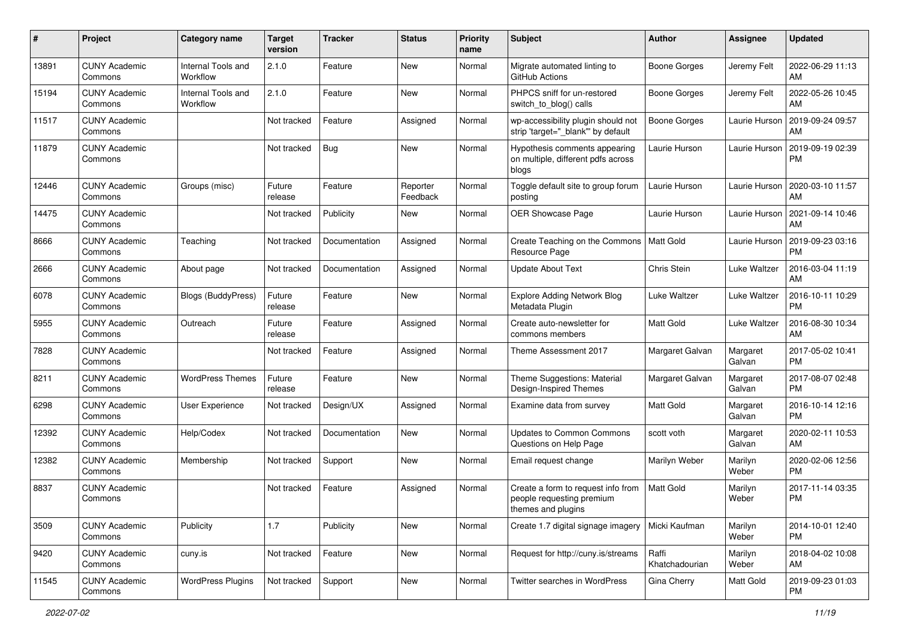| #     | Project                         | <b>Category name</b>           | <b>Target</b><br>version | <b>Tracker</b> | <b>Status</b>        | <b>Priority</b><br>name | <b>Subject</b>                                                                        | Author                  | Assignee           | <b>Updated</b>                |
|-------|---------------------------------|--------------------------------|--------------------------|----------------|----------------------|-------------------------|---------------------------------------------------------------------------------------|-------------------------|--------------------|-------------------------------|
| 13891 | <b>CUNY Academic</b><br>Commons | Internal Tools and<br>Workflow | 2.1.0                    | Feature        | <b>New</b>           | Normal                  | Migrate automated linting to<br>GitHub Actions                                        | Boone Gorges            | Jeremy Felt        | 2022-06-29 11:13<br>AM        |
| 15194 | <b>CUNY Academic</b><br>Commons | Internal Tools and<br>Workflow | 2.1.0                    | Feature        | New                  | Normal                  | PHPCS sniff for un-restored<br>switch_to_blog() calls                                 | <b>Boone Gorges</b>     | Jeremy Felt        | 2022-05-26 10:45<br>AM        |
| 11517 | <b>CUNY Academic</b><br>Commons |                                | Not tracked              | Feature        | Assigned             | Normal                  | wp-accessibility plugin should not<br>strip 'target="_blank" by default               | Boone Gorges            | Laurie Hurson      | 2019-09-24 09:57<br>AM        |
| 11879 | <b>CUNY Academic</b><br>Commons |                                | Not tracked              | Bug            | <b>New</b>           | Normal                  | Hypothesis comments appearing<br>on multiple, different pdfs across<br>blogs          | Laurie Hurson           | Laurie Hurson      | 2019-09-19 02:39<br><b>PM</b> |
| 12446 | <b>CUNY Academic</b><br>Commons | Groups (misc)                  | Future<br>release        | Feature        | Reporter<br>Feedback | Normal                  | Toggle default site to group forum<br>posting                                         | Laurie Hurson           | Laurie Hurson      | 2020-03-10 11:57<br>AM        |
| 14475 | <b>CUNY Academic</b><br>Commons |                                | Not tracked              | Publicity      | New                  | Normal                  | <b>OER Showcase Page</b>                                                              | Laurie Hurson           | Laurie Hurson      | 2021-09-14 10:46<br>AM        |
| 8666  | <b>CUNY Academic</b><br>Commons | Teaching                       | Not tracked              | Documentation  | Assigned             | Normal                  | Create Teaching on the Commons<br>Resource Page                                       | Matt Gold               | Laurie Hurson      | 2019-09-23 03:16<br><b>PM</b> |
| 2666  | <b>CUNY Academic</b><br>Commons | About page                     | Not tracked              | Documentation  | Assigned             | Normal                  | <b>Update About Text</b>                                                              | Chris Stein             | Luke Waltzer       | 2016-03-04 11:19<br>AM        |
| 6078  | <b>CUNY Academic</b><br>Commons | Blogs (BuddyPress)             | Future<br>release        | Feature        | <b>New</b>           | Normal                  | <b>Explore Adding Network Blog</b><br>Metadata Plugin                                 | Luke Waltzer            | Luke Waltzer       | 2016-10-11 10:29<br><b>PM</b> |
| 5955  | <b>CUNY Academic</b><br>Commons | Outreach                       | Future<br>release        | Feature        | Assigned             | Normal                  | Create auto-newsletter for<br>commons members                                         | <b>Matt Gold</b>        | Luke Waltzer       | 2016-08-30 10:34<br>AM        |
| 7828  | <b>CUNY Academic</b><br>Commons |                                | Not tracked              | Feature        | Assigned             | Normal                  | Theme Assessment 2017                                                                 | Margaret Galvan         | Margaret<br>Galvan | 2017-05-02 10:41<br><b>PM</b> |
| 8211  | <b>CUNY Academic</b><br>Commons | <b>WordPress Themes</b>        | Future<br>release        | Feature        | <b>New</b>           | Normal                  | Theme Suggestions: Material<br>Design-Inspired Themes                                 | Margaret Galvan         | Margaret<br>Galvan | 2017-08-07 02:48<br><b>PM</b> |
| 6298  | <b>CUNY Academic</b><br>Commons | User Experience                | Not tracked              | Design/UX      | Assigned             | Normal                  | Examine data from survey                                                              | <b>Matt Gold</b>        | Margaret<br>Galvan | 2016-10-14 12:16<br><b>PM</b> |
| 12392 | <b>CUNY Academic</b><br>Commons | Help/Codex                     | Not tracked              | Documentation  | New                  | Normal                  | Updates to Common Commons<br>Questions on Help Page                                   | scott voth              | Margaret<br>Galvan | 2020-02-11 10:53<br>AM        |
| 12382 | <b>CUNY Academic</b><br>Commons | Membership                     | Not tracked              | Support        | New                  | Normal                  | Email request change                                                                  | Marilyn Weber           | Marilyn<br>Weber   | 2020-02-06 12:56<br><b>PM</b> |
| 8837  | <b>CUNY Academic</b><br>Commons |                                | Not tracked              | Feature        | Assigned             | Normal                  | Create a form to request info from<br>people requesting premium<br>themes and plugins | <b>Matt Gold</b>        | Marilyn<br>Weber   | 2017-11-14 03:35<br><b>PM</b> |
| 3509  | <b>CUNY Academic</b><br>Commons | Publicity                      | 1.7                      | Publicity      | New                  | Normal                  | Create 1.7 digital signage imagery                                                    | Micki Kaufman           | Marilyn<br>Weber   | 2014-10-01 12:40<br><b>PM</b> |
| 9420  | <b>CUNY Academic</b><br>Commons | cuny.is                        | Not tracked              | Feature        | New                  | Normal                  | Request for http://cuny.is/streams                                                    | Raffi<br>Khatchadourian | Marilyn<br>Weber   | 2018-04-02 10:08<br>AM        |
| 11545 | <b>CUNY Academic</b><br>Commons | <b>WordPress Plugins</b>       | Not tracked              | Support        | New                  | Normal                  | Twitter searches in WordPress                                                         | Gina Cherry             | Matt Gold          | 2019-09-23 01:03<br><b>PM</b> |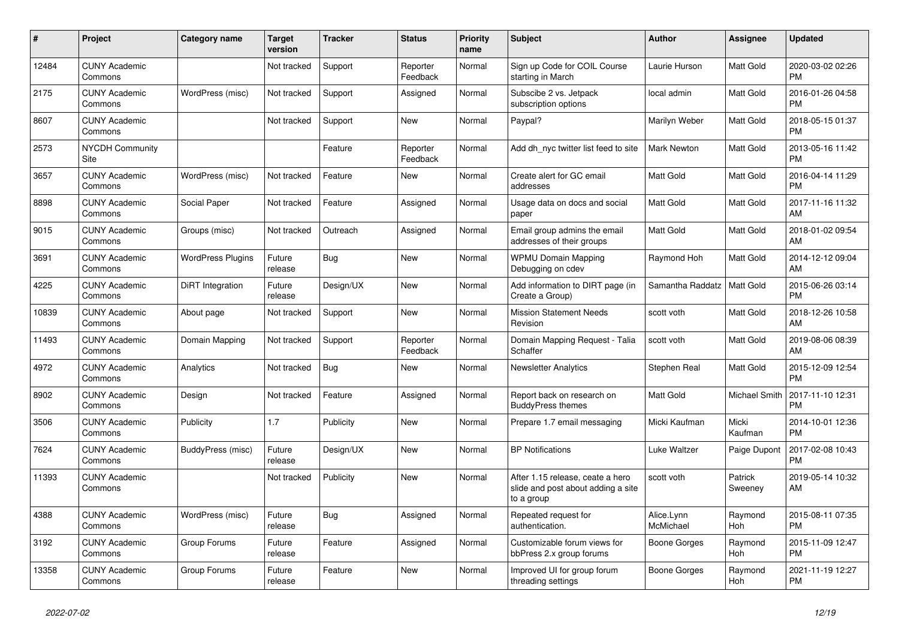| $\pmb{\#}$ | Project                         | <b>Category name</b>     | <b>Target</b><br>version | <b>Tracker</b> | <b>Status</b>        | <b>Priority</b><br>name | <b>Subject</b>                                                                       | <b>Author</b>           | Assignee           | <b>Updated</b>                |
|------------|---------------------------------|--------------------------|--------------------------|----------------|----------------------|-------------------------|--------------------------------------------------------------------------------------|-------------------------|--------------------|-------------------------------|
| 12484      | <b>CUNY Academic</b><br>Commons |                          | Not tracked              | Support        | Reporter<br>Feedback | Normal                  | Sign up Code for COIL Course<br>starting in March                                    | Laurie Hurson           | Matt Gold          | 2020-03-02 02:26<br><b>PM</b> |
| 2175       | <b>CUNY Academic</b><br>Commons | WordPress (misc)         | Not tracked              | Support        | Assigned             | Normal                  | Subscibe 2 vs. Jetpack<br>subscription options                                       | local admin             | Matt Gold          | 2016-01-26 04:58<br><b>PM</b> |
| 8607       | <b>CUNY Academic</b><br>Commons |                          | Not tracked              | Support        | New                  | Normal                  | Paypal?                                                                              | Marilyn Weber           | Matt Gold          | 2018-05-15 01:37<br><b>PM</b> |
| 2573       | NYCDH Community<br><b>Site</b>  |                          |                          | Feature        | Reporter<br>Feedback | Normal                  | Add dh nyc twitter list feed to site                                                 | <b>Mark Newton</b>      | Matt Gold          | 2013-05-16 11:42<br><b>PM</b> |
| 3657       | <b>CUNY Academic</b><br>Commons | WordPress (misc)         | Not tracked              | Feature        | New                  | Normal                  | Create alert for GC email<br>addresses                                               | Matt Gold               | Matt Gold          | 2016-04-14 11:29<br><b>PM</b> |
| 8898       | <b>CUNY Academic</b><br>Commons | Social Paper             | Not tracked              | Feature        | Assigned             | Normal                  | Usage data on docs and social<br>paper                                               | Matt Gold               | Matt Gold          | 2017-11-16 11:32<br>AM        |
| 9015       | <b>CUNY Academic</b><br>Commons | Groups (misc)            | Not tracked              | Outreach       | Assigned             | Normal                  | Email group admins the email<br>addresses of their groups                            | <b>Matt Gold</b>        | Matt Gold          | 2018-01-02 09:54<br>AM        |
| 3691       | <b>CUNY Academic</b><br>Commons | <b>WordPress Plugins</b> | Future<br>release        | Bug            | <b>New</b>           | Normal                  | <b>WPMU Domain Mapping</b><br>Debugging on cdev                                      | Raymond Hoh             | Matt Gold          | 2014-12-12 09:04<br>AM        |
| 4225       | <b>CUNY Academic</b><br>Commons | DiRT Integration         | Future<br>release        | Design/UX      | New                  | Normal                  | Add information to DIRT page (in<br>Create a Group)                                  | Samantha Raddatz        | Matt Gold          | 2015-06-26 03:14<br><b>PM</b> |
| 10839      | <b>CUNY Academic</b><br>Commons | About page               | Not tracked              | Support        | <b>New</b>           | Normal                  | <b>Mission Statement Needs</b><br>Revision                                           | scott voth              | Matt Gold          | 2018-12-26 10:58<br>AM        |
| 11493      | <b>CUNY Academic</b><br>Commons | Domain Mapping           | Not tracked              | Support        | Reporter<br>Feedback | Normal                  | Domain Mapping Request - Talia<br>Schaffer                                           | scott voth              | Matt Gold          | 2019-08-06 08:39<br>AM        |
| 4972       | <b>CUNY Academic</b><br>Commons | Analytics                | Not tracked              | Bug            | New                  | Normal                  | <b>Newsletter Analytics</b>                                                          | Stephen Real            | Matt Gold          | 2015-12-09 12:54<br><b>PM</b> |
| 8902       | <b>CUNY Academic</b><br>Commons | Design                   | Not tracked              | Feature        | Assigned             | Normal                  | Report back on research on<br><b>BuddyPress themes</b>                               | <b>Matt Gold</b>        | Michael Smith      | 2017-11-10 12:31<br><b>PM</b> |
| 3506       | <b>CUNY Academic</b><br>Commons | Publicity                | 1.7                      | Publicity      | <b>New</b>           | Normal                  | Prepare 1.7 email messaging                                                          | Micki Kaufman           | Micki<br>Kaufman   | 2014-10-01 12:36<br><b>PM</b> |
| 7624       | <b>CUNY Academic</b><br>Commons | BuddyPress (misc)        | Future<br>release        | Design/UX      | <b>New</b>           | Normal                  | <b>BP Notifications</b>                                                              | Luke Waltzer            | Paige Dupont       | 2017-02-08 10:43<br><b>PM</b> |
| 11393      | <b>CUNY Academic</b><br>Commons |                          | Not tracked              | Publicity      | <b>New</b>           | Normal                  | After 1.15 release, ceate a hero<br>slide and post about adding a site<br>to a group | scott voth              | Patrick<br>Sweeney | 2019-05-14 10:32<br>AM        |
| 4388       | <b>CUNY Academic</b><br>Commons | WordPress (misc)         | Future<br>release        | Bug            | Assigned             | Normal                  | Repeated request for<br>authentication.                                              | Alice.Lynn<br>McMichael | Raymond<br>Hoh     | 2015-08-11 07:35<br><b>PM</b> |
| 3192       | <b>CUNY Academic</b><br>Commons | Group Forums             | Future<br>release        | Feature        | Assigned             | Normal                  | Customizable forum views for<br>bbPress 2.x group forums                             | Boone Gorges            | Raymond<br>Hoh     | 2015-11-09 12:47<br><b>PM</b> |
| 13358      | <b>CUNY Academic</b><br>Commons | Group Forums             | Future<br>release        | Feature        | <b>New</b>           | Normal                  | Improved UI for group forum<br>threading settings                                    | Boone Gorges            | Raymond<br>Hoh     | 2021-11-19 12:27<br><b>PM</b> |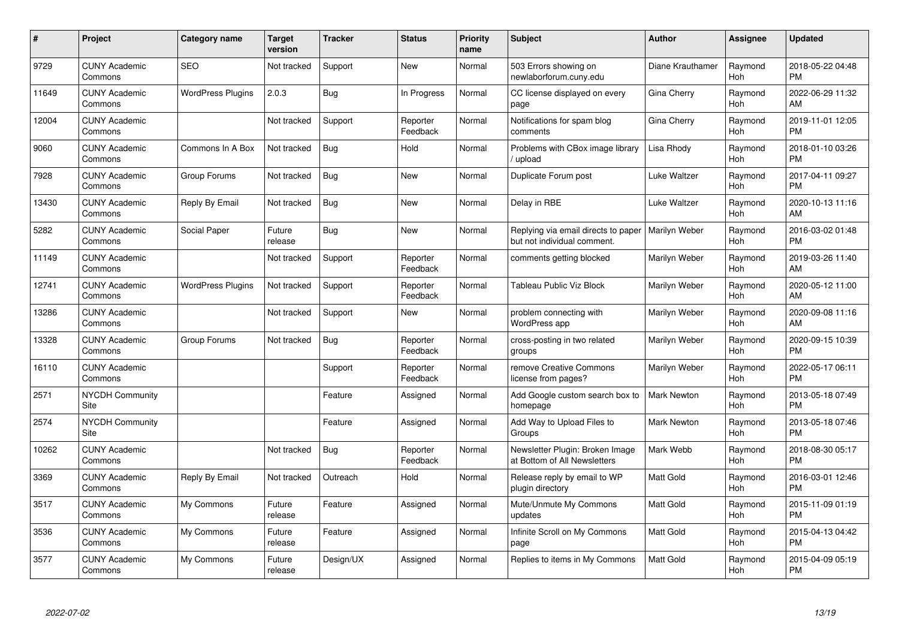| #     | Project                         | Category name            | <b>Target</b><br>version | <b>Tracker</b> | <b>Status</b>        | Priority<br>name | <b>Subject</b>                                                     | <b>Author</b>      | <b>Assignee</b> | <b>Updated</b>                |
|-------|---------------------------------|--------------------------|--------------------------|----------------|----------------------|------------------|--------------------------------------------------------------------|--------------------|-----------------|-------------------------------|
| 9729  | <b>CUNY Academic</b><br>Commons | <b>SEO</b>               | Not tracked              | Support        | <b>New</b>           | Normal           | 503 Errors showing on<br>newlaborforum.cuny.edu                    | Diane Krauthamer   | Raymond<br>Hoh  | 2018-05-22 04:48<br><b>PM</b> |
| 11649 | <b>CUNY Academic</b><br>Commons | <b>WordPress Plugins</b> | 2.0.3                    | Bug            | In Progress          | Normal           | CC license displayed on every<br>page                              | Gina Cherry        | Raymond<br>Hoh  | 2022-06-29 11:32<br>AM        |
| 12004 | <b>CUNY Academic</b><br>Commons |                          | Not tracked              | Support        | Reporter<br>Feedback | Normal           | Notifications for spam blog<br>comments                            | Gina Cherry        | Raymond<br>Hoh  | 2019-11-01 12:05<br><b>PM</b> |
| 9060  | <b>CUNY Academic</b><br>Commons | Commons In A Box         | Not tracked              | <b>Bug</b>     | Hold                 | Normal           | Problems with CBox image library<br>upload                         | Lisa Rhody         | Raymond<br>Hoh  | 2018-01-10 03:26<br><b>PM</b> |
| 7928  | <b>CUNY Academic</b><br>Commons | Group Forums             | Not tracked              | <b>Bug</b>     | <b>New</b>           | Normal           | Duplicate Forum post                                               | Luke Waltzer       | Raymond<br>Hoh  | 2017-04-11 09:27<br><b>PM</b> |
| 13430 | <b>CUNY Academic</b><br>Commons | Reply By Email           | Not tracked              | Bug            | <b>New</b>           | Normal           | Delay in RBE                                                       | Luke Waltzer       | Raymond<br>Hoh  | 2020-10-13 11:16<br>AM        |
| 5282  | <b>CUNY Academic</b><br>Commons | Social Paper             | Future<br>release        | <b>Bug</b>     | <b>New</b>           | Normal           | Replying via email directs to paper<br>but not individual comment. | Marilyn Weber      | Raymond<br>Hoh  | 2016-03-02 01:48<br><b>PM</b> |
| 11149 | <b>CUNY Academic</b><br>Commons |                          | Not tracked              | Support        | Reporter<br>Feedback | Normal           | comments getting blocked                                           | Marilyn Weber      | Raymond<br>Hoh  | 2019-03-26 11:40<br>AM        |
| 12741 | <b>CUNY Academic</b><br>Commons | <b>WordPress Plugins</b> | Not tracked              | Support        | Reporter<br>Feedback | Normal           | <b>Tableau Public Viz Block</b>                                    | Marilyn Weber      | Raymond<br>Hoh  | 2020-05-12 11:00<br>AM        |
| 13286 | <b>CUNY Academic</b><br>Commons |                          | Not tracked              | Support        | <b>New</b>           | Normal           | problem connecting with<br>WordPress app                           | Marilyn Weber      | Raymond<br>Hoh  | 2020-09-08 11:16<br>AM        |
| 13328 | <b>CUNY Academic</b><br>Commons | Group Forums             | Not tracked              | Bug            | Reporter<br>Feedback | Normal           | cross-posting in two related<br>groups                             | Marilyn Weber      | Raymond<br>Hoh  | 2020-09-15 10:39<br><b>PM</b> |
| 16110 | <b>CUNY Academic</b><br>Commons |                          |                          | Support        | Reporter<br>Feedback | Normal           | remove Creative Commons<br>license from pages?                     | Marilyn Weber      | Raymond<br>Hoh  | 2022-05-17 06:11<br><b>PM</b> |
| 2571  | <b>NYCDH Community</b><br>Site  |                          |                          | Feature        | Assigned             | Normal           | Add Google custom search box to<br>homepage                        | Mark Newton        | Raymond<br>Hoh  | 2013-05-18 07:49<br><b>PM</b> |
| 2574  | <b>NYCDH Community</b><br>Site  |                          |                          | Feature        | Assigned             | Normal           | Add Way to Upload Files to<br>Groups                               | <b>Mark Newton</b> | Raymond<br>Hoh  | 2013-05-18 07:46<br><b>PM</b> |
| 10262 | <b>CUNY Academic</b><br>Commons |                          | Not tracked              | Bug            | Reporter<br>Feedback | Normal           | Newsletter Plugin: Broken Image<br>at Bottom of All Newsletters    | Mark Webb          | Raymond<br>Hoh  | 2018-08-30 05:17<br><b>PM</b> |
| 3369  | <b>CUNY Academic</b><br>Commons | Reply By Email           | Not tracked              | Outreach       | Hold                 | Normal           | Release reply by email to WP<br>plugin directory                   | <b>Matt Gold</b>   | Raymond<br>Hoh  | 2016-03-01 12:46<br><b>PM</b> |
| 3517  | <b>CUNY Academic</b><br>Commons | My Commons               | Future<br>release        | Feature        | Assigned             | Normal           | Mute/Unmute My Commons<br>updates                                  | <b>Matt Gold</b>   | Raymond<br>Hoh  | 2015-11-09 01:19<br><b>PM</b> |
| 3536  | <b>CUNY Academic</b><br>Commons | My Commons               | Future<br>release        | Feature        | Assigned             | Normal           | Infinite Scroll on My Commons<br>page                              | <b>Matt Gold</b>   | Raymond<br>Hoh  | 2015-04-13 04:42<br><b>PM</b> |
| 3577  | <b>CUNY Academic</b><br>Commons | My Commons               | Future<br>release        | Design/UX      | Assigned             | Normal           | Replies to items in My Commons                                     | <b>Matt Gold</b>   | Raymond<br>Hoh  | 2015-04-09 05:19<br><b>PM</b> |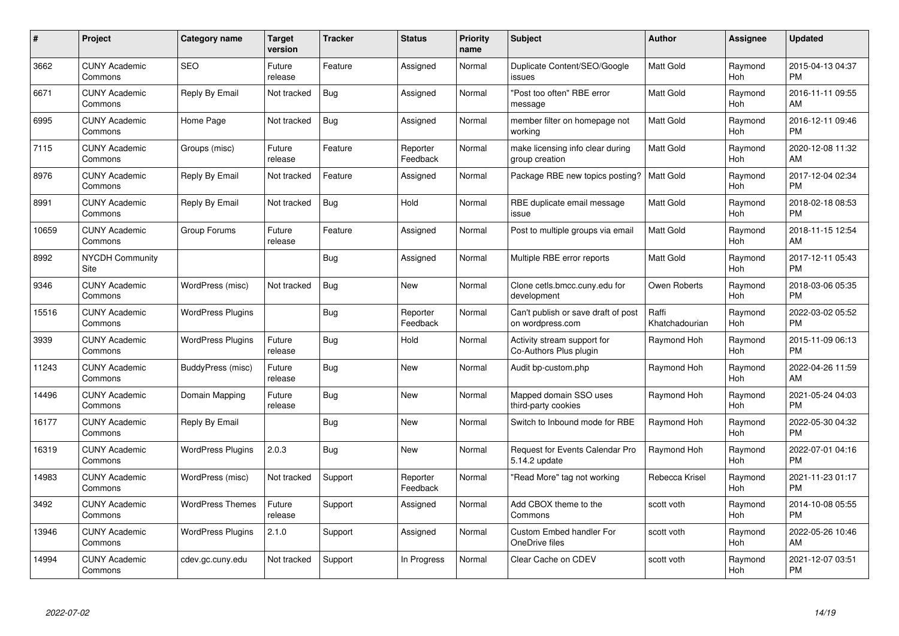| #     | Project                         | <b>Category name</b>     | <b>Target</b><br>version | <b>Tracker</b> | <b>Status</b>        | Priority<br>name | <b>Subject</b>                                          | <b>Author</b>           | <b>Assignee</b> | <b>Updated</b>                |
|-------|---------------------------------|--------------------------|--------------------------|----------------|----------------------|------------------|---------------------------------------------------------|-------------------------|-----------------|-------------------------------|
| 3662  | <b>CUNY Academic</b><br>Commons | <b>SEO</b>               | Future<br>release        | Feature        | Assigned             | Normal           | Duplicate Content/SEO/Google<br>issues                  | <b>Matt Gold</b>        | Raymond<br>Hoh  | 2015-04-13 04:37<br><b>PM</b> |
| 6671  | <b>CUNY Academic</b><br>Commons | Reply By Email           | Not tracked              | Bug            | Assigned             | Normal           | "Post too often" RBE error<br>message                   | <b>Matt Gold</b>        | Raymond<br>Hoh  | 2016-11-11 09:55<br>AM        |
| 6995  | <b>CUNY Academic</b><br>Commons | Home Page                | Not tracked              | Bug            | Assigned             | Normal           | member filter on homepage not<br>working                | Matt Gold               | Raymond<br>Hoh  | 2016-12-11 09:46<br><b>PM</b> |
| 7115  | <b>CUNY Academic</b><br>Commons | Groups (misc)            | Future<br>release        | Feature        | Reporter<br>Feedback | Normal           | make licensing info clear during<br>group creation      | Matt Gold               | Raymond<br>Hoh  | 2020-12-08 11:32<br>AM        |
| 8976  | <b>CUNY Academic</b><br>Commons | Reply By Email           | Not tracked              | Feature        | Assigned             | Normal           | Package RBE new topics posting?                         | <b>Matt Gold</b>        | Raymond<br>Hoh  | 2017-12-04 02:34<br><b>PM</b> |
| 8991  | <b>CUNY Academic</b><br>Commons | Reply By Email           | Not tracked              | Bug            | Hold                 | Normal           | RBE duplicate email message<br>issue                    | <b>Matt Gold</b>        | Raymond<br>Hoh  | 2018-02-18 08:53<br><b>PM</b> |
| 10659 | <b>CUNY Academic</b><br>Commons | Group Forums             | Future<br>release        | Feature        | Assigned             | Normal           | Post to multiple groups via email                       | <b>Matt Gold</b>        | Raymond<br>Hoh  | 2018-11-15 12:54<br>AM        |
| 8992  | <b>NYCDH Community</b><br>Site  |                          |                          | Bug            | Assigned             | Normal           | Multiple RBE error reports                              | <b>Matt Gold</b>        | Raymond<br>Hoh  | 2017-12-11 05:43<br><b>PM</b> |
| 9346  | <b>CUNY Academic</b><br>Commons | WordPress (misc)         | Not tracked              | Bug            | <b>New</b>           | Normal           | Clone cetls.bmcc.cuny.edu for<br>development            | Owen Roberts            | Raymond<br>Hoh  | 2018-03-06 05:35<br><b>PM</b> |
| 15516 | <b>CUNY Academic</b><br>Commons | <b>WordPress Plugins</b> |                          | Bug            | Reporter<br>Feedback | Normal           | Can't publish or save draft of post<br>on wordpress.com | Raffi<br>Khatchadourian | Raymond<br>Hoh  | 2022-03-02 05:52<br><b>PM</b> |
| 3939  | <b>CUNY Academic</b><br>Commons | <b>WordPress Plugins</b> | Future<br>release        | Bug            | Hold                 | Normal           | Activity stream support for<br>Co-Authors Plus plugin   | Raymond Hoh             | Raymond<br>Hoh  | 2015-11-09 06:13<br><b>PM</b> |
| 11243 | <b>CUNY Academic</b><br>Commons | BuddyPress (misc)        | Future<br>release        | Bug            | <b>New</b>           | Normal           | Audit bp-custom.php                                     | Raymond Hoh             | Raymond<br>Hoh  | 2022-04-26 11:59<br>AM        |
| 14496 | <b>CUNY Academic</b><br>Commons | Domain Mapping           | Future<br>release        | Bug            | New                  | Normal           | Mapped domain SSO uses<br>third-party cookies           | Raymond Hoh             | Raymond<br>Hoh  | 2021-05-24 04:03<br><b>PM</b> |
| 16177 | <b>CUNY Academic</b><br>Commons | Reply By Email           |                          | Bug            | New                  | Normal           | Switch to Inbound mode for RBE                          | Raymond Hoh             | Raymond<br>Hoh  | 2022-05-30 04:32<br><b>PM</b> |
| 16319 | <b>CUNY Academic</b><br>Commons | <b>WordPress Plugins</b> | 2.0.3                    | Bug            | <b>New</b>           | Normal           | Request for Events Calendar Pro<br>5.14.2 update        | Raymond Hoh             | Raymond<br>Hoh  | 2022-07-01 04:16<br><b>PM</b> |
| 14983 | <b>CUNY Academic</b><br>Commons | WordPress (misc)         | Not tracked              | Support        | Reporter<br>Feedback | Normal           | "Read More" tag not working                             | Rebecca Krisel          | Raymond<br>Hoh  | 2021-11-23 01:17<br><b>PM</b> |
| 3492  | <b>CUNY Academic</b><br>Commons | <b>WordPress Themes</b>  | Future<br>release        | Support        | Assigned             | Normal           | Add CBOX theme to the<br>Commons                        | scott voth              | Raymond<br>Hoh  | 2014-10-08 05:55<br><b>PM</b> |
| 13946 | <b>CUNY Academic</b><br>Commons | <b>WordPress Plugins</b> | 2.1.0                    | Support        | Assigned             | Normal           | Custom Embed handler For<br>OneDrive files              | scott voth              | Raymond<br>Hoh  | 2022-05-26 10:46<br>AM        |
| 14994 | CUNY Academic<br>Commons        | cdev.gc.cuny.edu         | Not tracked              | Support        | In Progress          | Normal           | Clear Cache on CDEV                                     | scott voth              | Raymond<br>Hoh  | 2021-12-07 03:51<br>PM        |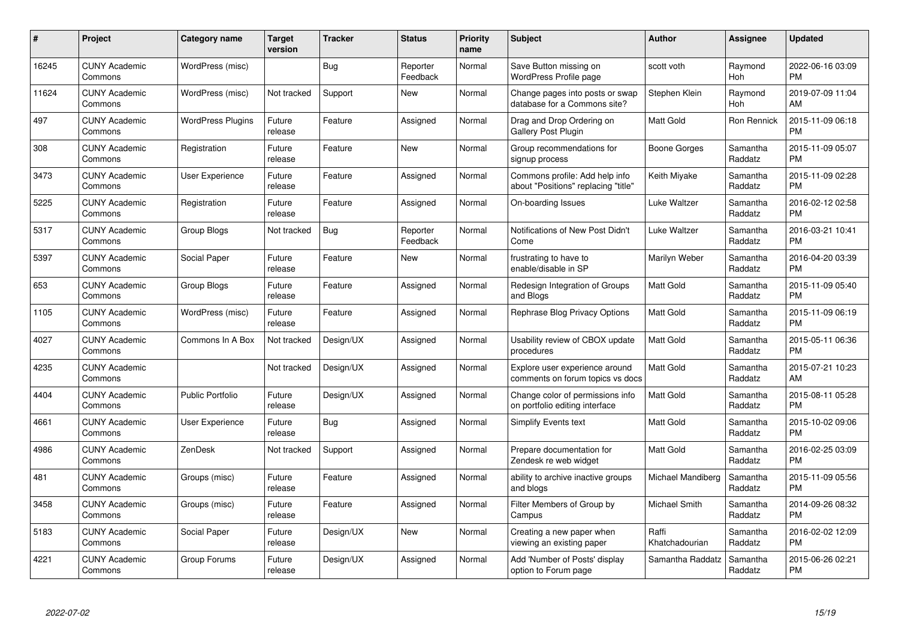| #     | Project                         | <b>Category name</b>     | <b>Target</b><br>version | <b>Tracker</b> | <b>Status</b>        | Priority<br>name | <b>Subject</b>                                                        | <b>Author</b>           | <b>Assignee</b>     | <b>Updated</b>                |
|-------|---------------------------------|--------------------------|--------------------------|----------------|----------------------|------------------|-----------------------------------------------------------------------|-------------------------|---------------------|-------------------------------|
| 16245 | <b>CUNY Academic</b><br>Commons | WordPress (misc)         |                          | Bug            | Reporter<br>Feedback | Normal           | Save Button missing on<br>WordPress Profile page                      | scott voth              | Raymond<br>Hoh      | 2022-06-16 03:09<br><b>PM</b> |
| 11624 | <b>CUNY Academic</b><br>Commons | WordPress (misc)         | Not tracked              | Support        | New                  | Normal           | Change pages into posts or swap<br>database for a Commons site?       | Stephen Klein           | Raymond<br>Hoh      | 2019-07-09 11:04<br>AM        |
| 497   | <b>CUNY Academic</b><br>Commons | <b>WordPress Plugins</b> | Future<br>release        | Feature        | Assigned             | Normal           | Drag and Drop Ordering on<br>Gallery Post Plugin                      | Matt Gold               | Ron Rennick         | 2015-11-09 06:18<br><b>PM</b> |
| 308   | <b>CUNY Academic</b><br>Commons | Registration             | Future<br>release        | Feature        | <b>New</b>           | Normal           | Group recommendations for<br>signup process                           | Boone Gorges            | Samantha<br>Raddatz | 2015-11-09 05:07<br><b>PM</b> |
| 3473  | <b>CUNY Academic</b><br>Commons | User Experience          | Future<br>release        | Feature        | Assigned             | Normal           | Commons profile: Add help info<br>about "Positions" replacing "title" | Keith Miyake            | Samantha<br>Raddatz | 2015-11-09 02:28<br><b>PM</b> |
| 5225  | <b>CUNY Academic</b><br>Commons | Registration             | Future<br>release        | Feature        | Assigned             | Normal           | On-boarding Issues                                                    | Luke Waltzer            | Samantha<br>Raddatz | 2016-02-12 02:58<br><b>PM</b> |
| 5317  | <b>CUNY Academic</b><br>Commons | <b>Group Blogs</b>       | Not tracked              | Bug            | Reporter<br>Feedback | Normal           | Notifications of New Post Didn't<br>Come                              | Luke Waltzer            | Samantha<br>Raddatz | 2016-03-21 10:41<br><b>PM</b> |
| 5397  | <b>CUNY Academic</b><br>Commons | Social Paper             | Future<br>release        | Feature        | New                  | Normal           | frustrating to have to<br>enable/disable in SP                        | Marilyn Weber           | Samantha<br>Raddatz | 2016-04-20 03:39<br><b>PM</b> |
| 653   | <b>CUNY Academic</b><br>Commons | Group Blogs              | Future<br>release        | Feature        | Assigned             | Normal           | Redesign Integration of Groups<br>and Blogs                           | Matt Gold               | Samantha<br>Raddatz | 2015-11-09 05:40<br><b>PM</b> |
| 1105  | <b>CUNY Academic</b><br>Commons | WordPress (misc)         | Future<br>release        | Feature        | Assigned             | Normal           | Rephrase Blog Privacy Options                                         | Matt Gold               | Samantha<br>Raddatz | 2015-11-09 06:19<br><b>PM</b> |
| 4027  | <b>CUNY Academic</b><br>Commons | Commons In A Box         | Not tracked              | Design/UX      | Assigned             | Normal           | Usability review of CBOX update<br>procedures                         | Matt Gold               | Samantha<br>Raddatz | 2015-05-11 06:36<br><b>PM</b> |
| 4235  | <b>CUNY Academic</b><br>Commons |                          | Not tracked              | Design/UX      | Assigned             | Normal           | Explore user experience around<br>comments on forum topics vs docs    | Matt Gold               | Samantha<br>Raddatz | 2015-07-21 10:23<br>AM        |
| 4404  | <b>CUNY Academic</b><br>Commons | <b>Public Portfolio</b>  | Future<br>release        | Design/UX      | Assigned             | Normal           | Change color of permissions info<br>on portfolio editing interface    | <b>Matt Gold</b>        | Samantha<br>Raddatz | 2015-08-11 05:28<br><b>PM</b> |
| 4661  | <b>CUNY Academic</b><br>Commons | User Experience          | Future<br>release        | Bug            | Assigned             | Normal           | <b>Simplify Events text</b>                                           | Matt Gold               | Samantha<br>Raddatz | 2015-10-02 09:06<br><b>PM</b> |
| 4986  | <b>CUNY Academic</b><br>Commons | <b>ZenDesk</b>           | Not tracked              | Support        | Assigned             | Normal           | Prepare documentation for<br>Zendesk re web widget                    | Matt Gold               | Samantha<br>Raddatz | 2016-02-25 03:09<br><b>PM</b> |
| 481   | <b>CUNY Academic</b><br>Commons | Groups (misc)            | Future<br>release        | Feature        | Assigned             | Normal           | ability to archive inactive groups<br>and blogs                       | Michael Mandiberg       | Samantha<br>Raddatz | 2015-11-09 05:56<br><b>PM</b> |
| 3458  | <b>CUNY Academic</b><br>Commons | Groups (misc)            | Future<br>release        | Feature        | Assigned             | Normal           | Filter Members of Group by<br>Campus                                  | Michael Smith           | Samantha<br>Raddatz | 2014-09-26 08:32<br><b>PM</b> |
| 5183  | <b>CUNY Academic</b><br>Commons | Social Paper             | Future<br>release        | Design/UX      | New                  | Normal           | Creating a new paper when<br>viewing an existing paper                | Raffi<br>Khatchadourian | Samantha<br>Raddatz | 2016-02-02 12:09<br><b>PM</b> |
| 4221  | CUNY Academic<br>Commons        | Group Forums             | Future<br>release        | Design/UX      | Assigned             | Normal           | Add 'Number of Posts' display<br>option to Forum page                 | Samantha Raddatz        | Samantha<br>Raddatz | 2015-06-26 02:21<br><b>PM</b> |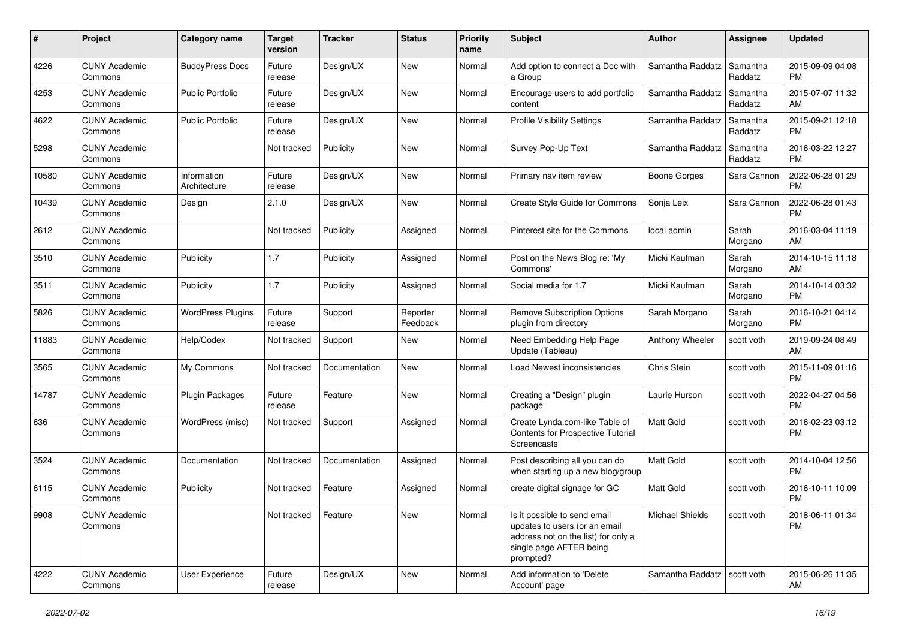| #     | Project                         | <b>Category name</b>        | <b>Target</b><br>version | <b>Tracker</b> | <b>Status</b>        | Priority<br>name | <b>Subject</b>                                                                                                                               | <b>Author</b>                 | <b>Assignee</b>     | <b>Updated</b>                |
|-------|---------------------------------|-----------------------------|--------------------------|----------------|----------------------|------------------|----------------------------------------------------------------------------------------------------------------------------------------------|-------------------------------|---------------------|-------------------------------|
| 4226  | <b>CUNY Academic</b><br>Commons | <b>BuddyPress Docs</b>      | Future<br>release        | Design/UX      | New                  | Normal           | Add option to connect a Doc with<br>a Group                                                                                                  | Samantha Raddatz              | Samantha<br>Raddatz | 2015-09-09 04:08<br>PM.       |
| 4253  | <b>CUNY Academic</b><br>Commons | <b>Public Portfolio</b>     | Future<br>release        | Design/UX      | New                  | Normal           | Encourage users to add portfolio<br>content                                                                                                  | Samantha Raddatz              | Samantha<br>Raddatz | 2015-07-07 11:32<br>AM.       |
| 4622  | <b>CUNY Academic</b><br>Commons | <b>Public Portfolio</b>     | Future<br>release        | Design/UX      | New                  | Normal           | <b>Profile Visibility Settings</b>                                                                                                           | Samantha Raddatz              | Samantha<br>Raddatz | 2015-09-21 12:18<br><b>PM</b> |
| 5298  | <b>CUNY Academic</b><br>Commons |                             | Not tracked              | Publicity      | New                  | Normal           | Survey Pop-Up Text                                                                                                                           | Samantha Raddatz              | Samantha<br>Raddatz | 2016-03-22 12:27<br><b>PM</b> |
| 10580 | <b>CUNY Academic</b><br>Commons | Information<br>Architecture | Future<br>release        | Design/UX      | New                  | Normal           | Primary nav item review                                                                                                                      | Boone Gorges                  | Sara Cannon         | 2022-06-28 01:29<br><b>PM</b> |
| 10439 | <b>CUNY Academic</b><br>Commons | Design                      | 2.1.0                    | Design/UX      | New                  | Normal           | Create Style Guide for Commons                                                                                                               | Sonja Leix                    | Sara Cannon         | 2022-06-28 01:43<br><b>PM</b> |
| 2612  | <b>CUNY Academic</b><br>Commons |                             | Not tracked              | Publicity      | Assigned             | Normal           | Pinterest site for the Commons                                                                                                               | local admin                   | Sarah<br>Morgano    | 2016-03-04 11:19<br>AM.       |
| 3510  | <b>CUNY Academic</b><br>Commons | Publicity                   | 1.7                      | Publicity      | Assigned             | Normal           | Post on the News Blog re: 'My<br>Commons'                                                                                                    | Micki Kaufman                 | Sarah<br>Morgano    | 2014-10-15 11:18<br>AM.       |
| 3511  | <b>CUNY Academic</b><br>Commons | Publicity                   | 1.7                      | Publicity      | Assigned             | Normal           | Social media for 1.7                                                                                                                         | Micki Kaufman                 | Sarah<br>Morgano    | 2014-10-14 03:32<br><b>PM</b> |
| 5826  | <b>CUNY Academic</b><br>Commons | <b>WordPress Plugins</b>    | Future<br>release        | Support        | Reporter<br>Feedback | Normal           | <b>Remove Subscription Options</b><br>plugin from directory                                                                                  | Sarah Morgano                 | Sarah<br>Morgano    | 2016-10-21 04:14<br>PM.       |
| 11883 | <b>CUNY Academic</b><br>Commons | Help/Codex                  | Not tracked              | Support        | New                  | Normal           | Need Embedding Help Page<br>Update (Tableau)                                                                                                 | Anthony Wheeler               | scott voth          | 2019-09-24 08:49<br>AM        |
| 3565  | <b>CUNY Academic</b><br>Commons | My Commons                  | Not tracked              | Documentation  | New                  | Normal           | Load Newest inconsistencies                                                                                                                  | Chris Stein                   | scott voth          | 2015-11-09 01:16<br><b>PM</b> |
| 14787 | <b>CUNY Academic</b><br>Commons | <b>Plugin Packages</b>      | Future<br>release        | Feature        | New                  | Normal           | Creating a "Design" plugin<br>package                                                                                                        | Laurie Hurson                 | scott voth          | 2022-04-27 04:56<br><b>PM</b> |
| 636   | <b>CUNY Academic</b><br>Commons | WordPress (misc)            | Not tracked              | Support        | Assigned             | Normal           | Create Lynda.com-like Table of<br>Contents for Prospective Tutorial<br>Screencasts                                                           | <b>Matt Gold</b>              | scott voth          | 2016-02-23 03:12<br><b>PM</b> |
| 3524  | <b>CUNY Academic</b><br>Commons | Documentation               | Not tracked              | Documentation  | Assigned             | Normal           | Post describing all you can do<br>when starting up a new blog/group                                                                          | Matt Gold                     | scott voth          | 2014-10-04 12:56<br><b>PM</b> |
| 6115  | <b>CUNY Academic</b><br>Commons | Publicity                   | Not tracked              | Feature        | Assigned             | Normal           | create digital signage for GC                                                                                                                | <b>Matt Gold</b>              | scott voth          | 2016-10-11 10:09<br><b>PM</b> |
| 9908  | <b>CUNY Academic</b><br>Commons |                             | Not tracked              | Feature        | New                  | Normal           | Is it possible to send email<br>updates to users (or an email<br>address not on the list) for only a<br>single page AFTER being<br>prompted? | <b>Michael Shields</b>        | scott voth          | 2018-06-11 01:34<br><b>PM</b> |
| 4222  | <b>CUNY Academic</b><br>Commons | User Experience             | Future<br>release        | Design/UX      | New                  | Normal           | Add information to 'Delete<br>Account' page                                                                                                  | Samantha Raddatz   scott voth |                     | 2015-06-26 11:35<br>AM        |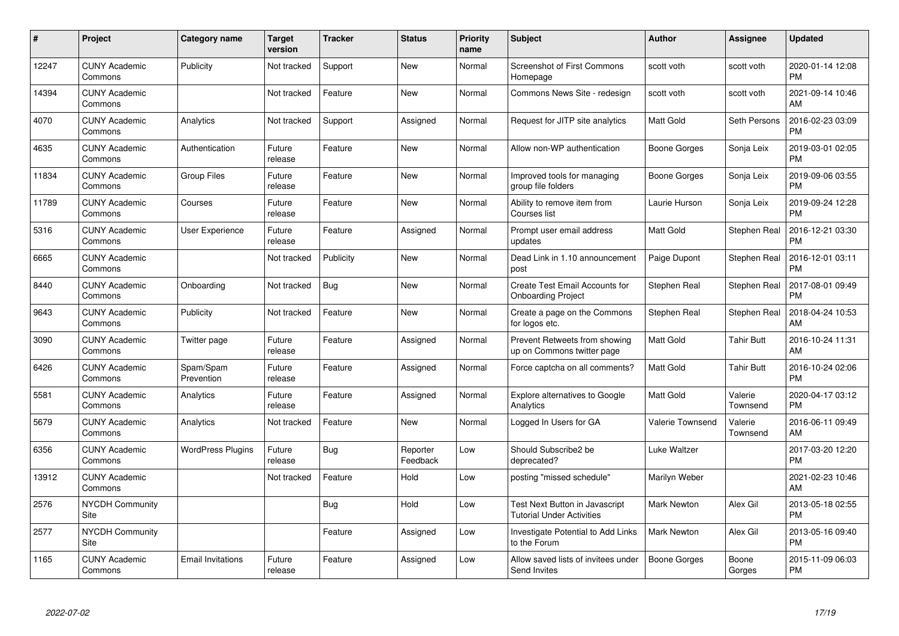| #     | Project                         | <b>Category name</b>     | <b>Target</b><br>version | <b>Tracker</b> | <b>Status</b>        | <b>Priority</b><br>name | <b>Subject</b>                                                     | <b>Author</b>      | <b>Assignee</b>     | <b>Updated</b>                |
|-------|---------------------------------|--------------------------|--------------------------|----------------|----------------------|-------------------------|--------------------------------------------------------------------|--------------------|---------------------|-------------------------------|
| 12247 | <b>CUNY Academic</b><br>Commons | Publicity                | Not tracked              | Support        | <b>New</b>           | Normal                  | <b>Screenshot of First Commons</b><br>Homepage                     | scott voth         | scott voth          | 2020-01-14 12:08<br><b>PM</b> |
| 14394 | <b>CUNY Academic</b><br>Commons |                          | Not tracked              | Feature        | <b>New</b>           | Normal                  | Commons News Site - redesign                                       | scott voth         | scott voth          | 2021-09-14 10:46<br>AM        |
| 4070  | <b>CUNY Academic</b><br>Commons | Analytics                | Not tracked              | Support        | Assigned             | Normal                  | Request for JITP site analytics                                    | <b>Matt Gold</b>   | Seth Persons        | 2016-02-23 03:09<br><b>PM</b> |
| 4635  | <b>CUNY Academic</b><br>Commons | Authentication           | Future<br>release        | Feature        | <b>New</b>           | Normal                  | Allow non-WP authentication                                        | Boone Gorges       | Sonja Leix          | 2019-03-01 02:05<br><b>PM</b> |
| 11834 | <b>CUNY Academic</b><br>Commons | <b>Group Files</b>       | Future<br>release        | Feature        | <b>New</b>           | Normal                  | Improved tools for managing<br>group file folders                  | Boone Gorges       | Sonja Leix          | 2019-09-06 03:55<br><b>PM</b> |
| 11789 | <b>CUNY Academic</b><br>Commons | Courses                  | Future<br>release        | Feature        | <b>New</b>           | Normal                  | Ability to remove item from<br>Courses list                        | Laurie Hurson      | Sonja Leix          | 2019-09-24 12:28<br><b>PM</b> |
| 5316  | <b>CUNY Academic</b><br>Commons | <b>User Experience</b>   | Future<br>release        | Feature        | Assigned             | Normal                  | Prompt user email address<br>updates                               | <b>Matt Gold</b>   | Stephen Real        | 2016-12-21 03:30<br><b>PM</b> |
| 6665  | <b>CUNY Academic</b><br>Commons |                          | Not tracked              | Publicity      | <b>New</b>           | Normal                  | Dead Link in 1.10 announcement<br>post                             | Paige Dupont       | Stephen Real        | 2016-12-01 03:11<br><b>PM</b> |
| 8440  | <b>CUNY Academic</b><br>Commons | Onboarding               | Not tracked              | Bug            | New                  | Normal                  | Create Test Email Accounts for<br><b>Onboarding Project</b>        | Stephen Real       | Stephen Real        | 2017-08-01 09:49<br><b>PM</b> |
| 9643  | <b>CUNY Academic</b><br>Commons | Publicity                | Not tracked              | Feature        | <b>New</b>           | Normal                  | Create a page on the Commons<br>for logos etc.                     | Stephen Real       | Stephen Real        | 2018-04-24 10:53<br>AM        |
| 3090  | <b>CUNY Academic</b><br>Commons | Twitter page             | Future<br>release        | Feature        | Assigned             | Normal                  | Prevent Retweets from showing<br>up on Commons twitter page        | <b>Matt Gold</b>   | Tahir Butt          | 2016-10-24 11:31<br>AM        |
| 6426  | <b>CUNY Academic</b><br>Commons | Spam/Spam<br>Prevention  | Future<br>release        | Feature        | Assigned             | Normal                  | Force captcha on all comments?                                     | Matt Gold          | Tahir Butt          | 2016-10-24 02:06<br><b>PM</b> |
| 5581  | <b>CUNY Academic</b><br>Commons | Analytics                | Future<br>release        | Feature        | Assigned             | Normal                  | Explore alternatives to Google<br>Analytics                        | <b>Matt Gold</b>   | Valerie<br>Townsend | 2020-04-17 03:12<br><b>PM</b> |
| 5679  | <b>CUNY Academic</b><br>Commons | Analytics                | Not tracked              | Feature        | New                  | Normal                  | Logged In Users for GA                                             | Valerie Townsend   | Valerie<br>Townsend | 2016-06-11 09:49<br>AM        |
| 6356  | <b>CUNY Academic</b><br>Commons | <b>WordPress Plugins</b> | Future<br>release        | <b>Bug</b>     | Reporter<br>Feedback | Low                     | Should Subscribe2 be<br>deprecated?                                | Luke Waltzer       |                     | 2017-03-20 12:20<br><b>PM</b> |
| 13912 | <b>CUNY Academic</b><br>Commons |                          | Not tracked              | Feature        | Hold                 | Low                     | posting "missed schedule"                                          | Marilyn Weber      |                     | 2021-02-23 10:46<br>AM        |
| 2576  | <b>NYCDH Community</b><br>Site  |                          |                          | Bug            | Hold                 | Low                     | Test Next Button in Javascript<br><b>Tutorial Under Activities</b> | <b>Mark Newton</b> | Alex Gil            | 2013-05-18 02:55<br><b>PM</b> |
| 2577  | <b>NYCDH Community</b><br>Site  |                          |                          | Feature        | Assigned             | Low                     | Investigate Potential to Add Links<br>to the Forum                 | <b>Mark Newton</b> | Alex Gil            | 2013-05-16 09:40<br><b>PM</b> |
| 1165  | <b>CUNY Academic</b><br>Commons | <b>Email Invitations</b> | Future<br>release        | Feature        | Assigned             | Low                     | Allow saved lists of invitees under<br>Send Invites                | Boone Gorges       | Boone<br>Gorges     | 2015-11-09 06:03<br><b>PM</b> |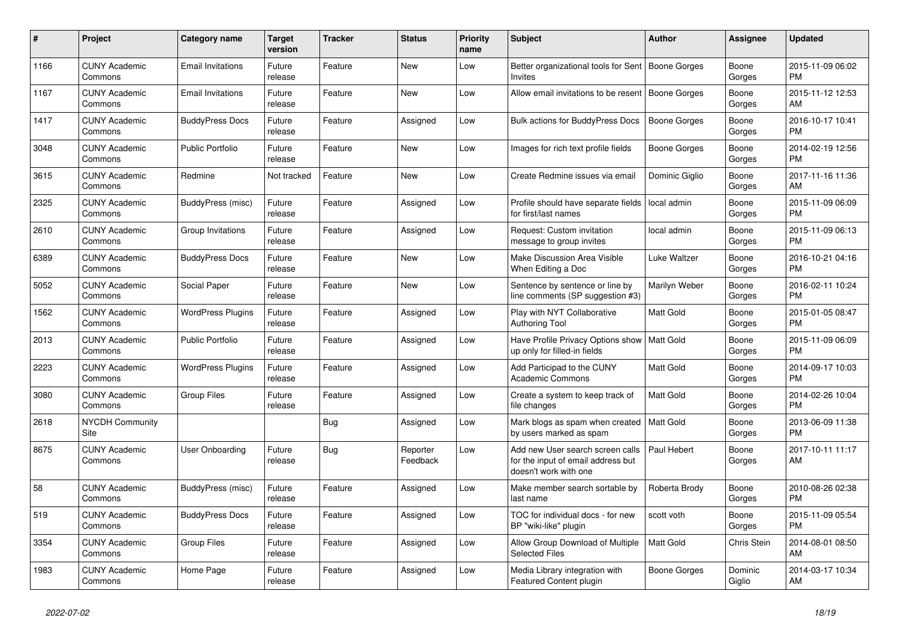| $\pmb{\#}$ | Project                               | Category name            | <b>Target</b><br>version | Tracker | <b>Status</b>        | <b>Priority</b><br>name | <b>Subject</b>                                                                                  | <b>Author</b>    | Assignee          | <b>Updated</b>                |
|------------|---------------------------------------|--------------------------|--------------------------|---------|----------------------|-------------------------|-------------------------------------------------------------------------------------------------|------------------|-------------------|-------------------------------|
| 1166       | <b>CUNY Academic</b><br>Commons       | <b>Email Invitations</b> | Future<br>release        | Feature | New                  | Low                     | Better organizational tools for Sent<br><b>Invites</b>                                          | Boone Gorges     | Boone<br>Gorges   | 2015-11-09 06:02<br><b>PM</b> |
| 1167       | <b>CUNY Academic</b><br>Commons       | <b>Email Invitations</b> | Future<br>release        | Feature | New                  | Low                     | Allow email invitations to be resent   Boone Gorges                                             |                  | Boone<br>Gorges   | 2015-11-12 12:53<br>AM        |
| 1417       | <b>CUNY Academic</b><br>Commons       | <b>BuddyPress Docs</b>   | Future<br>release        | Feature | Assigned             | Low                     | Bulk actions for BuddyPress Docs                                                                | Boone Gorges     | Boone<br>Gorges   | 2016-10-17 10:41<br><b>PM</b> |
| 3048       | <b>CUNY Academic</b><br>Commons       | <b>Public Portfolio</b>  | Future<br>release        | Feature | <b>New</b>           | Low                     | Images for rich text profile fields                                                             | Boone Gorges     | Boone<br>Gorges   | 2014-02-19 12:56<br><b>PM</b> |
| 3615       | <b>CUNY Academic</b><br>Commons       | Redmine                  | Not tracked              | Feature | New                  | Low                     | Create Redmine issues via email                                                                 | Dominic Giglio   | Boone<br>Gorges   | 2017-11-16 11:36<br>AM        |
| 2325       | <b>CUNY Academic</b><br>Commons       | BuddyPress (misc)        | Future<br>release        | Feature | Assigned             | Low                     | Profile should have separate fields<br>for first/last names                                     | local admin      | Boone<br>Gorges   | 2015-11-09 06:09<br><b>PM</b> |
| 2610       | <b>CUNY Academic</b><br>Commons       | Group Invitations        | Future<br>release        | Feature | Assigned             | Low                     | Request: Custom invitation<br>message to group invites                                          | local admin      | Boone<br>Gorges   | 2015-11-09 06:13<br><b>PM</b> |
| 6389       | <b>CUNY Academic</b><br>Commons       | <b>BuddyPress Docs</b>   | Future<br>release        | Feature | New                  | Low                     | Make Discussion Area Visible<br>When Editing a Doc                                              | Luke Waltzer     | Boone<br>Gorges   | 2016-10-21 04:16<br><b>PM</b> |
| 5052       | <b>CUNY Academic</b><br>Commons       | Social Paper             | Future<br>release        | Feature | <b>New</b>           | Low                     | Sentence by sentence or line by<br>line comments (SP suggestion #3)                             | Marilyn Weber    | Boone<br>Gorges   | 2016-02-11 10:24<br><b>PM</b> |
| 1562       | <b>CUNY Academic</b><br>Commons       | <b>WordPress Plugins</b> | Future<br>release        | Feature | Assigned             | Low                     | Play with NYT Collaborative<br><b>Authoring Tool</b>                                            | Matt Gold        | Boone<br>Gorges   | 2015-01-05 08:47<br><b>PM</b> |
| 2013       | <b>CUNY Academic</b><br>Commons       | <b>Public Portfolio</b>  | Future<br>release        | Feature | Assigned             | Low                     | Have Profile Privacy Options show   Matt Gold<br>up only for filled-in fields                   |                  | Boone<br>Gorges   | 2015-11-09 06:09<br><b>PM</b> |
| 2223       | <b>CUNY Academic</b><br>Commons       | <b>WordPress Plugins</b> | Future<br>release        | Feature | Assigned             | Low                     | Add Participad to the CUNY<br>Academic Commons                                                  | Matt Gold        | Boone<br>Gorges   | 2014-09-17 10:03<br><b>PM</b> |
| 3080       | <b>CUNY Academic</b><br>Commons       | <b>Group Files</b>       | Future<br>release        | Feature | Assigned             | Low                     | Create a system to keep track of<br>file changes                                                | <b>Matt Gold</b> | Boone<br>Gorges   | 2014-02-26 10:04<br><b>PM</b> |
| 2618       | <b>NYCDH Community</b><br><b>Site</b> |                          |                          | Bug     | Assigned             | Low                     | Mark blogs as spam when created<br>by users marked as spam                                      | Matt Gold        | Boone<br>Gorges   | 2013-06-09 11:38<br><b>PM</b> |
| 8675       | <b>CUNY Academic</b><br>Commons       | <b>User Onboarding</b>   | Future<br>release        | Bug     | Reporter<br>Feedback | Low                     | Add new User search screen calls<br>for the input of email address but<br>doesn't work with one | Paul Hebert      | Boone<br>Gorges   | 2017-10-11 11:17<br>AM        |
| 58         | <b>CUNY Academic</b><br>Commons       | BuddyPress (misc)        | Future<br>release        | Feature | Assigned             | Low                     | Make member search sortable by<br>last name                                                     | Roberta Brody    | Boone<br>Gorges   | 2010-08-26 02:38<br><b>PM</b> |
| 519        | <b>CUNY Academic</b><br>Commons       | <b>BuddyPress Docs</b>   | Future<br>release        | Feature | Assigned             | Low                     | TOC for individual docs - for new<br>BP "wiki-like" plugin                                      | scott voth       | Boone<br>Gorges   | 2015-11-09 05:54<br><b>PM</b> |
| 3354       | <b>CUNY Academic</b><br>Commons       | <b>Group Files</b>       | Future<br>release        | Feature | Assigned             | Low                     | Allow Group Download of Multiple<br><b>Selected Files</b>                                       | <b>Matt Gold</b> | Chris Stein       | 2014-08-01 08:50<br>AM        |
| 1983       | <b>CUNY Academic</b><br>Commons       | Home Page                | Future<br>release        | Feature | Assigned             | Low                     | Media Library integration with<br>Featured Content plugin                                       | Boone Gorges     | Dominic<br>Giglio | 2014-03-17 10:34<br>AM        |